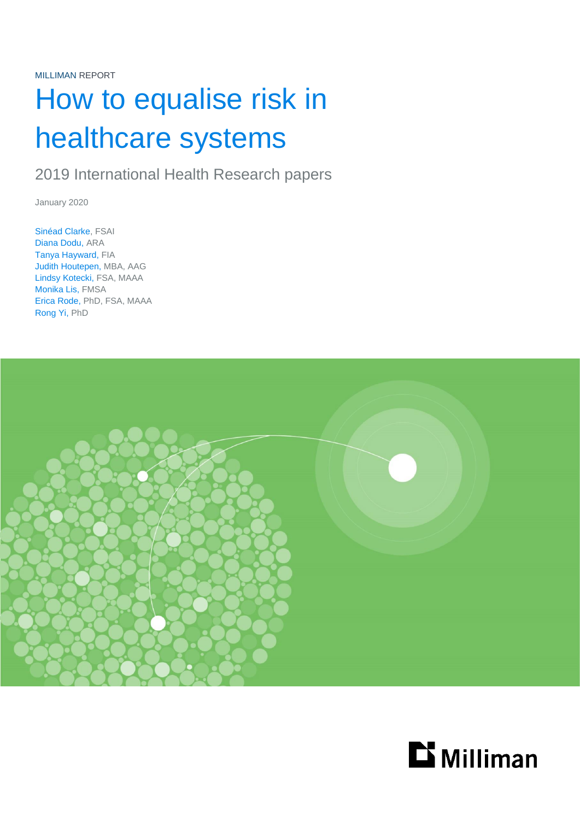# How to equalise risk in healthcare systems

2019 International Health Research papers

January 2020

Sinéad Clarke, FSAI Diana Dodu, ARA Tanya Hayward, FIA Judith Houtepen, MBA, AAG Lindsy Kotecki, FSA, MAAA Monika Lis, FMSA Erica Rode, PhD, FSA, MAAA Rong Yi, PhD



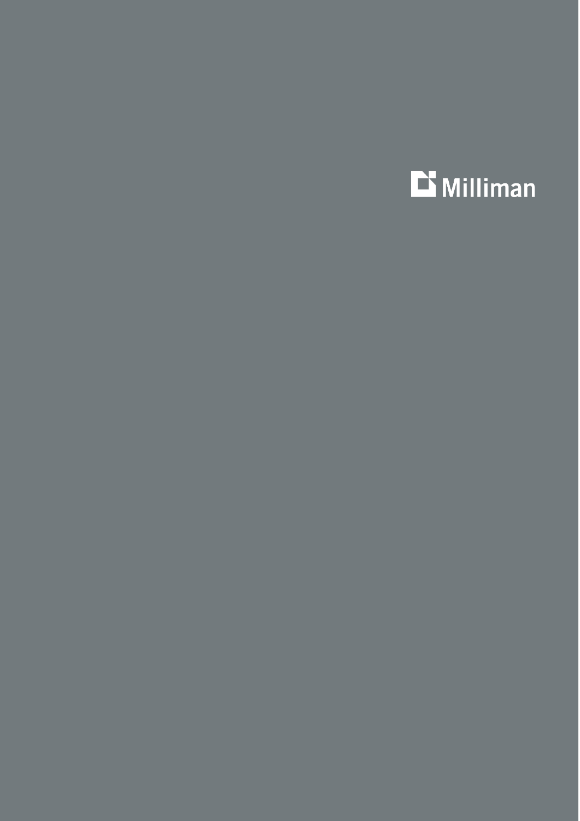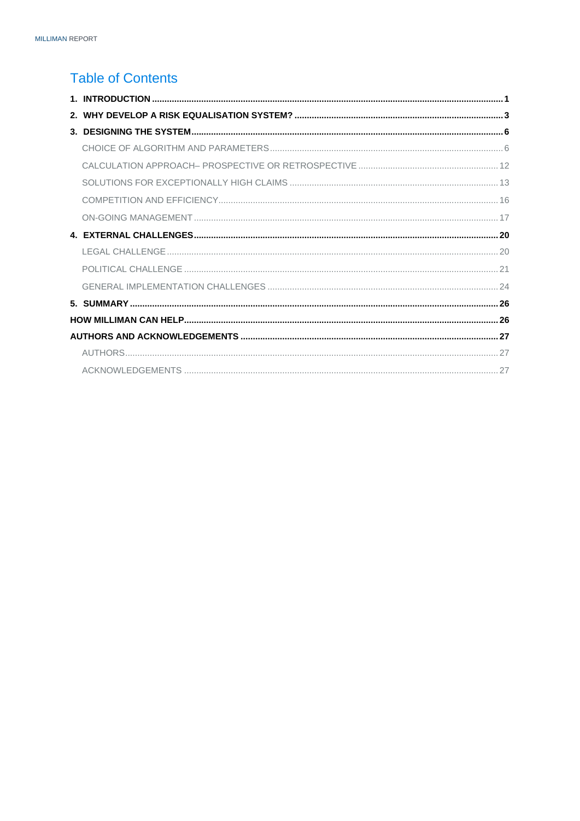# **Table of Contents**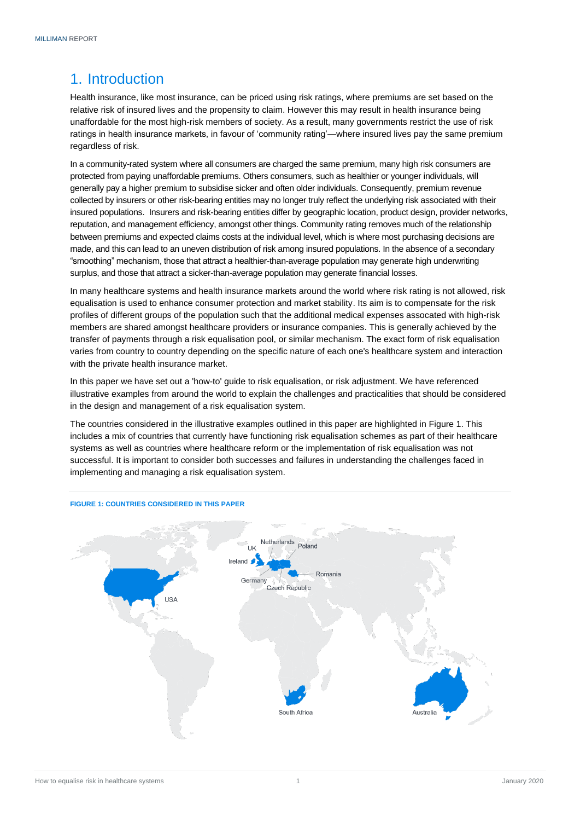# <span id="page-3-0"></span>1. Introduction

Health insurance, like most insurance, can be priced using risk ratings, where premiums are set based on the relative risk of insured lives and the propensity to claim. However this may result in health insurance being unaffordable for the most high-risk members of society. As a result, many governments restrict the use of risk ratings in health insurance markets, in favour of 'community rating'—where insured lives pay the same premium regardless of risk.

In a community-rated system where all consumers are charged the same premium, many high risk consumers are protected from paying unaffordable premiums. Others consumers, such as healthier or younger individuals, will generally pay a higher premium to subsidise sicker and often older individuals. Consequently, premium revenue collected by insurers or other risk-bearing entities may no longer truly reflect the underlying risk associated with their insured populations. Insurers and risk-bearing entities differ by geographic location, product design, provider networks, reputation, and management efficiency, amongst other things. Community rating removes much of the relationship between premiums and expected claims costs at the individual level, which is where most purchasing decisions are made, and this can lead to an uneven distribution of risk among insured populations. In the absence of a secondary "smoothing" mechanism, those that attract a healthier-than-average population may generate high underwriting surplus, and those that attract a sicker-than-average population may generate financial losses.

In many healthcare systems and health insurance markets around the world where risk rating is not allowed, risk equalisation is used to enhance consumer protection and market stability. Its aim is to compensate for the risk profiles of different groups of the population such that the additional medical expenses assocated with high-risk members are shared amongst healthcare providers or insurance companies. This is generally achieved by the transfer of payments through a risk equalisation pool, or similar mechanism. The exact form of risk equalisation varies from country to country depending on the specific nature of each one's healthcare system and interaction with the private health insurance market.

In this paper we have set out a 'how-to' guide to risk equalisation, or risk adjustment. We have referenced illustrative examples from around the world to explain the challenges and practicalities that should be considered in the design and management of a risk equalisation system.

The countries considered in the illustrative examples outlined in this paper are highlighted in Figure 1. This includes a mix of countries that currently have functioning risk equalisation schemes as part of their healthcare systems as well as countries where healthcare reform or the implementation of risk equalisation was not successful. It is important to consider both successes and failures in understanding the challenges faced in implementing and managing a risk equalisation system.



#### **FIGURE 1: COUNTRIES CONSIDERED IN THIS PAPER**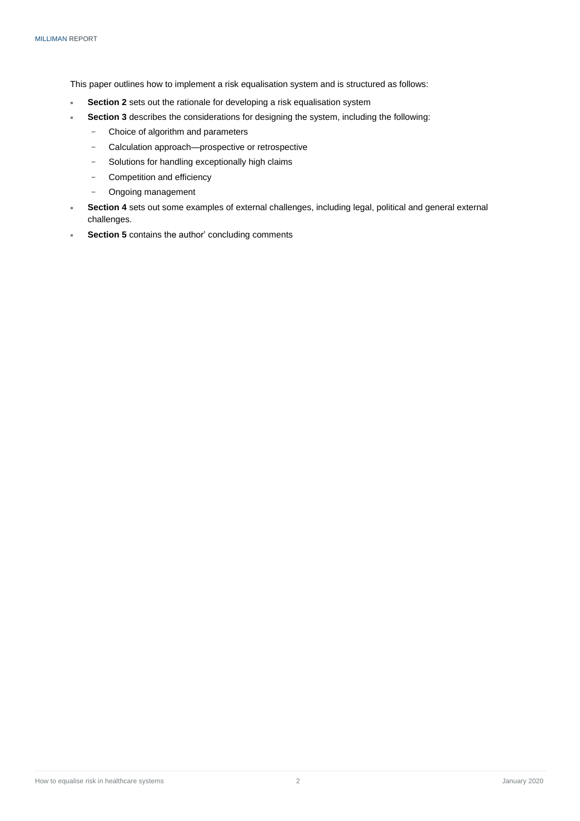This paper outlines how to implement a risk equalisation system and is structured as follows:

- **Section 2** sets out the rationale for developing a risk equalisation system
	- **Section 3** describes the considerations for designing the system, including the following:
		- − Choice of algorithm and parameters
		- − Calculation approach—prospective or retrospective
		- − Solutions for handling exceptionally high claims
		- − Competition and efficiency
		- − Ongoing management
- **Section 4** sets out some examples of external challenges, including legal, political and general external challenges.
- **Section 5** contains the author' concluding comments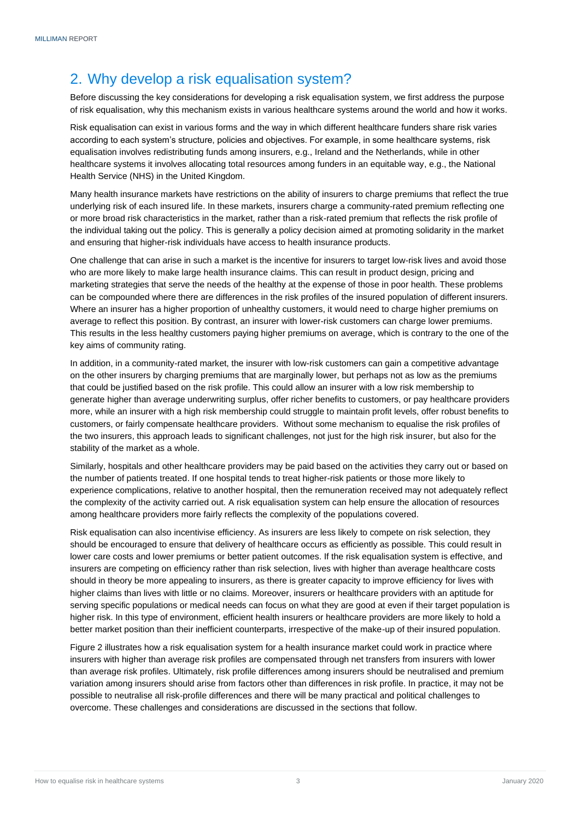# <span id="page-5-0"></span>2. Why develop a risk equalisation system?

Before discussing the key considerations for developing a risk equalisation system, we first address the purpose of risk equalisation, why this mechanism exists in various healthcare systems around the world and how it works.

Risk equalisation can exist in various forms and the way in which different healthcare funders share risk varies according to each system's structure, policies and objectives. For example, in some healthcare systems, risk equalisation involves redistributing funds among insurers, e.g., Ireland and the Netherlands, while in other healthcare systems it involves allocating total resources among funders in an equitable way, e.g., the National Health Service (NHS) in the United Kingdom.

Many health insurance markets have restrictions on the ability of insurers to charge premiums that reflect the true underlying risk of each insured life. In these markets, insurers charge a community-rated premium reflecting one or more broad risk characteristics in the market, rather than a risk-rated premium that reflects the risk profile of the individual taking out the policy. This is generally a policy decision aimed at promoting solidarity in the market and ensuring that higher-risk individuals have access to health insurance products.

One challenge that can arise in such a market is the incentive for insurers to target low-risk lives and avoid those who are more likely to make large health insurance claims. This can result in product design, pricing and marketing strategies that serve the needs of the healthy at the expense of those in poor health. These problems can be compounded where there are differences in the risk profiles of the insured population of different insurers. Where an insurer has a higher proportion of unhealthy customers, it would need to charge higher premiums on average to reflect this position. By contrast, an insurer with lower-risk customers can charge lower premiums. This results in the less healthy customers paying higher premiums on average, which is contrary to the one of the key aims of community rating.

In addition, in a community-rated market, the insurer with low-risk customers can gain a competitive advantage on the other insurers by charging premiums that are marginally lower, but perhaps not as low as the premiums that could be justified based on the risk profile. This could allow an insurer with a low risk membership to generate higher than average underwriting surplus, offer richer benefits to customers, or pay healthcare providers more, while an insurer with a high risk membership could struggle to maintain profit levels, offer robust benefits to customers, or fairly compensate healthcare providers. Without some mechanism to equalise the risk profiles of the two insurers, this approach leads to significant challenges, not just for the high risk insurer, but also for the stability of the market as a whole.

Similarly, hospitals and other healthcare providers may be paid based on the activities they carry out or based on the number of patients treated. If one hospital tends to treat higher-risk patients or those more likely to experience complications, relative to another hospital, then the remuneration received may not adequately reflect the complexity of the activity carried out. A risk equalisation system can help ensure the allocation of resources among healthcare providers more fairly reflects the complexity of the populations covered.

Risk equalisation can also incentivise efficiency. As insurers are less likely to compete on risk selection, they should be encouraged to ensure that delivery of healthcare occurs as efficiently as possible. This could result in lower care costs and lower premiums or better patient outcomes. If the risk equalisation system is effective, and insurers are competing on efficiency rather than risk selection, lives with higher than average healthcare costs should in theory be more appealing to insurers, as there is greater capacity to improve efficiency for lives with higher claims than lives with little or no claims. Moreover, insurers or healthcare providers with an aptitude for serving specific populations or medical needs can focus on what they are good at even if their target population is higher risk. In this type of environment, efficient health insurers or healthcare providers are more likely to hold a better market position than their inefficient counterparts, irrespective of the make-up of their insured population.

Figure 2 illustrates how a risk equalisation system for a health insurance market could work in practice where insurers with higher than average risk profiles are compensated through net transfers from insurers with lower than average risk profiles. Ultimately, risk profile differences among insurers should be neutralised and premium variation among insurers should arise from factors other than differences in risk profile. In practice, it may not be possible to neutralise all risk-profile differences and there will be many practical and political challenges to overcome. These challenges and considerations are discussed in the sections that follow.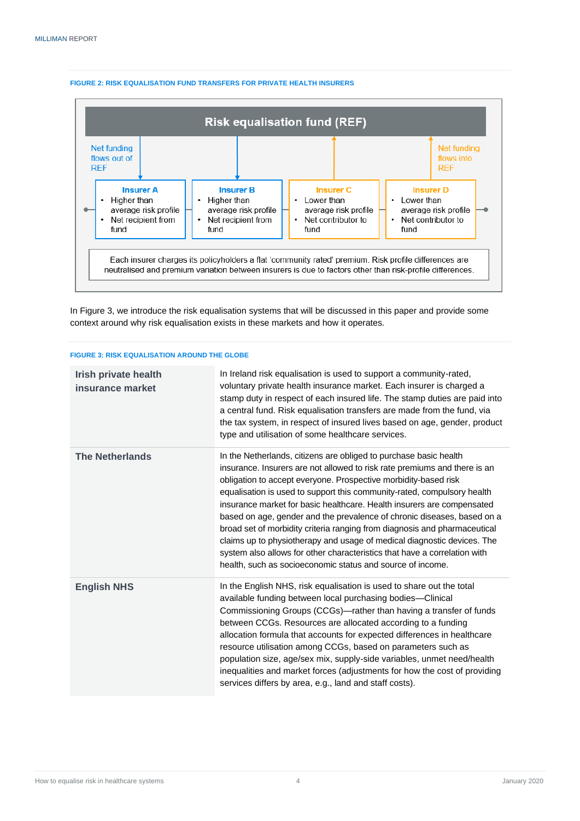

#### **FIGURE 2: RISK EQUALISATION FUND TRANSFERS FOR PRIVATE HEALTH INSURERS**

In Figure 3, we introduce the risk equalisation systems that will be discussed in this paper and provide some context around why risk equalisation exists in these markets and how it operates.

| <b>FIGURE 3: RISK EQUALISATION AROUND THE GLOBE</b> |  |
|-----------------------------------------------------|--|
|                                                     |  |

| Irish private health<br>insurance market | In Ireland risk equalisation is used to support a community-rated,<br>voluntary private health insurance market. Each insurer is charged a<br>stamp duty in respect of each insured life. The stamp duties are paid into<br>a central fund. Risk equalisation transfers are made from the fund, via<br>the tax system, in respect of insured lives based on age, gender, product<br>type and utilisation of some healthcare services.                                                                                                                                                                                                                                                                                                                |
|------------------------------------------|------------------------------------------------------------------------------------------------------------------------------------------------------------------------------------------------------------------------------------------------------------------------------------------------------------------------------------------------------------------------------------------------------------------------------------------------------------------------------------------------------------------------------------------------------------------------------------------------------------------------------------------------------------------------------------------------------------------------------------------------------|
| <b>The Netherlands</b>                   | In the Netherlands, citizens are obliged to purchase basic health<br>insurance. Insurers are not allowed to risk rate premiums and there is an<br>obligation to accept everyone. Prospective morbidity-based risk<br>equalisation is used to support this community-rated, compulsory health<br>insurance market for basic healthcare. Health insurers are compensated<br>based on age, gender and the prevalence of chronic diseases, based on a<br>broad set of morbidity criteria ranging from diagnosis and pharmaceutical<br>claims up to physiotherapy and usage of medical diagnostic devices. The<br>system also allows for other characteristics that have a correlation with<br>health, such as socioeconomic status and source of income. |
| <b>English NHS</b>                       | In the English NHS, risk equalisation is used to share out the total<br>available funding between local purchasing bodies-Clinical<br>Commissioning Groups (CCGs)-rather than having a transfer of funds<br>between CCGs. Resources are allocated according to a funding<br>allocation formula that accounts for expected differences in healthcare<br>resource utilisation among CCGs, based on parameters such as<br>population size, age/sex mix, supply-side variables, unmet need/health<br>inequalities and market forces (adjustments for how the cost of providing<br>services differs by area, e.g., land and staff costs).                                                                                                                 |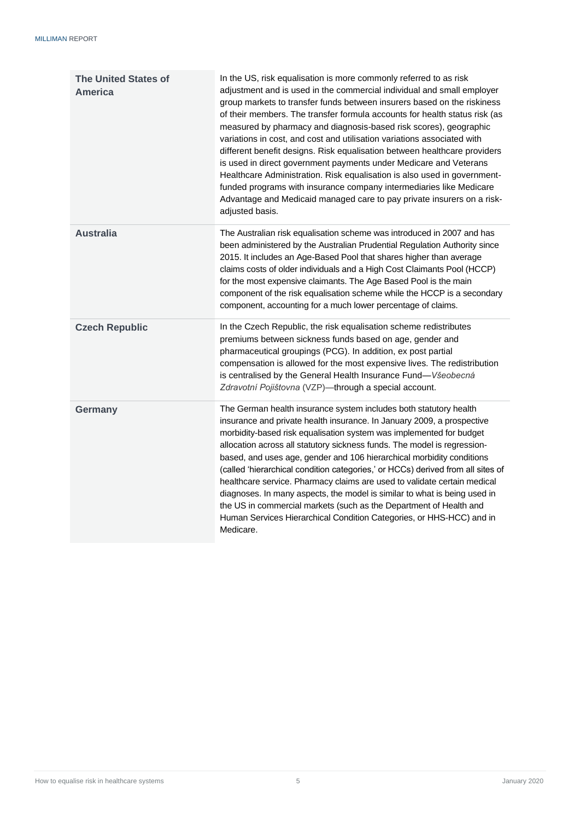| <b>The United States of</b><br>America | In the US, risk equalisation is more commonly referred to as risk<br>adjustment and is used in the commercial individual and small employer<br>group markets to transfer funds between insurers based on the riskiness<br>of their members. The transfer formula accounts for health status risk (as<br>measured by pharmacy and diagnosis-based risk scores), geographic<br>variations in cost, and cost and utilisation variations associated with<br>different benefit designs. Risk equalisation between healthcare providers<br>is used in direct government payments under Medicare and Veterans<br>Healthcare Administration. Risk equalisation is also used in government-<br>funded programs with insurance company intermediaries like Medicare<br>Advantage and Medicaid managed care to pay private insurers on a risk-<br>adjusted basis. |
|----------------------------------------|--------------------------------------------------------------------------------------------------------------------------------------------------------------------------------------------------------------------------------------------------------------------------------------------------------------------------------------------------------------------------------------------------------------------------------------------------------------------------------------------------------------------------------------------------------------------------------------------------------------------------------------------------------------------------------------------------------------------------------------------------------------------------------------------------------------------------------------------------------|
| <b>Australia</b>                       | The Australian risk equalisation scheme was introduced in 2007 and has<br>been administered by the Australian Prudential Regulation Authority since<br>2015. It includes an Age-Based Pool that shares higher than average<br>claims costs of older individuals and a High Cost Claimants Pool (HCCP)<br>for the most expensive claimants. The Age Based Pool is the main<br>component of the risk equalisation scheme while the HCCP is a secondary<br>component, accounting for a much lower percentage of claims.                                                                                                                                                                                                                                                                                                                                   |
| <b>Czech Republic</b>                  | In the Czech Republic, the risk equalisation scheme redistributes<br>premiums between sickness funds based on age, gender and<br>pharmaceutical groupings (PCG). In addition, ex post partial<br>compensation is allowed for the most expensive lives. The redistribution<br>is centralised by the General Health Insurance Fund-Všeobecná<br>Zdravotní Pojištovna (VZP)-through a special account.                                                                                                                                                                                                                                                                                                                                                                                                                                                    |
| <b>Germany</b>                         | The German health insurance system includes both statutory health<br>insurance and private health insurance. In January 2009, a prospective<br>morbidity-based risk equalisation system was implemented for budget<br>allocation across all statutory sickness funds. The model is regression-<br>based, and uses age, gender and 106 hierarchical morbidity conditions<br>(called 'hierarchical condition categories,' or HCCs) derived from all sites of<br>healthcare service. Pharmacy claims are used to validate certain medical<br>diagnoses. In many aspects, the model is similar to what is being used in<br>the US in commercial markets (such as the Department of Health and<br>Human Services Hierarchical Condition Categories, or HHS-HCC) and in<br>Medicare.                                                                         |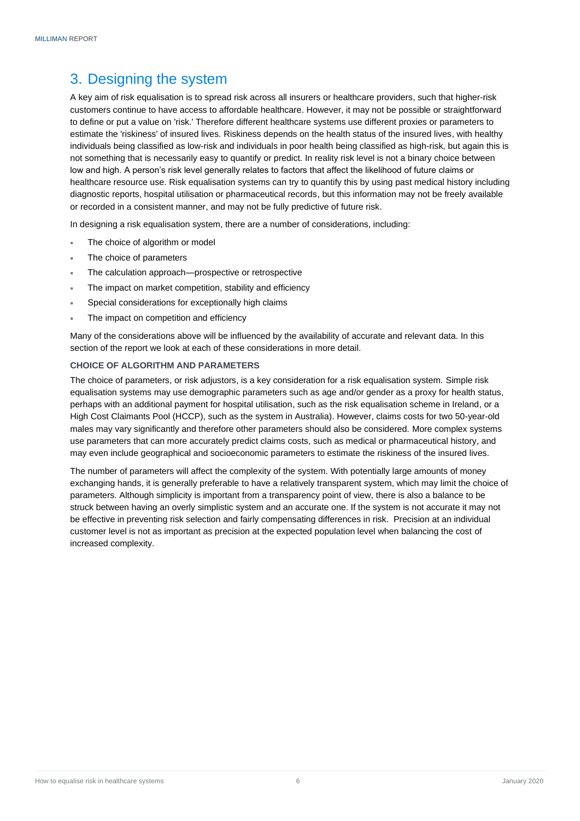# <span id="page-8-0"></span>3. Designing the system

A key aim of risk equalisation is to spread risk across all insurers or healthcare providers, such that higher-risk customers continue to have access to affordable healthcare. However, it may not be possible or straightforward to define or put a value on 'risk.' Therefore different healthcare systems use different proxies or parameters to estimate the 'riskiness' of insured lives. Riskiness depends on the health status of the insured lives, with healthy individuals being classified as low-risk and individuals in poor health being classified as high-risk, but again this is not something that is necessarily easy to quantify or predict. In reality risk level is not a binary choice between low and high. A person's risk level generally relates to factors that affect the likelihood of future claims or healthcare resource use. Risk equalisation systems can try to quantify this by using past medical history including diagnostic reports, hospital utilisation or pharmaceutical records, but this information may not be freely available or recorded in a consistent manner, and may not be fully predictive of future risk.

In designing a risk equalisation system, there are a number of considerations, including:

- The choice of algorithm or model
- The choice of parameters
- The calculation approach—prospective or retrospective
- The impact on market competition, stability and efficiency
- Special considerations for exceptionally high claims
- The impact on competition and efficiency

Many of the considerations above will be influenced by the availability of accurate and relevant data. In this section of the report we look at each of these considerations in more detail.

# <span id="page-8-1"></span>**CHOICE OF ALGORITHM AND PARAMETERS**

The choice of parameters, or risk adjustors, is a key consideration for a risk equalisation system. Simple risk equalisation systems may use demographic parameters such as age and/or gender as a proxy for health status, perhaps with an additional payment for hospital utilisation, such as the risk equalisation scheme in Ireland, or a High Cost Claimants Pool (HCCP), such as the system in Australia). However, claims costs for two 50-year-old males may vary significantly and therefore other parameters should also be considered. More complex systems use parameters that can more accurately predict claims costs, such as medical or pharmaceutical history, and may even include geographical and socioeconomic parameters to estimate the riskiness of the insured lives.

The number of parameters will affect the complexity of the system. With potentially large amounts of money exchanging hands, it is generally preferable to have a relatively transparent system, which may limit the choice of parameters. Although simplicity is important from a transparency point of view, there is also a balance to be struck between having an overly simplistic system and an accurate one. If the system is not accurate it may not be effective in preventing risk selection and fairly compensating differences in risk. Precision at an individual customer level is not as important as precision at the expected population level when balancing the cost of increased complexity.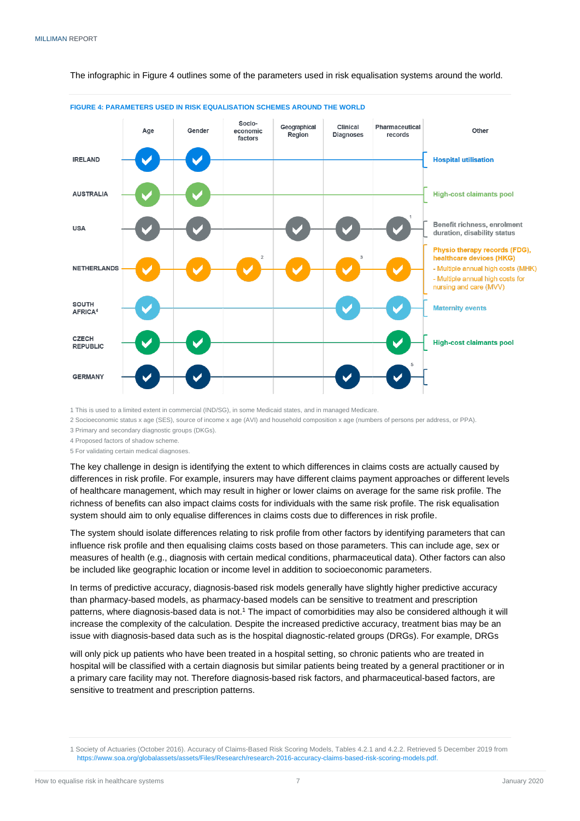The infographic in Figure 4 outlines some of the parameters used in risk equalisation systems around the world.



**FIGURE 4: PARAMETERS USED IN RISK EQUALISATION SCHEMES AROUND THE WORLD**

1 This is used to a limited extent in commercial (IND/SG), in some Medicaid states, and in managed Medicare.

2 Socioeconomic status x age (SES), source of income x age (AVI) and household composition x age (numbers of persons per address, or PPA).

3 Primary and secondary diagnostic groups (DKGs).

4 Proposed factors of shadow scheme.

5 For validating certain medical diagnoses.

The key challenge in design is identifying the extent to which differences in claims costs are actually caused by differences in risk profile. For example, insurers may have different claims payment approaches or different levels of healthcare management, which may result in higher or lower claims on average for the same risk profile. The richness of benefits can also impact claims costs for individuals with the same risk profile. The risk equalisation system should aim to only equalise differences in claims costs due to differences in risk profile.

The system should isolate differences relating to risk profile from other factors by identifying parameters that can influence risk profile and then equalising claims costs based on those parameters. This can include age, sex or measures of health (e.g., diagnosis with certain medical conditions, pharmaceutical data). Other factors can also be included like geographic location or income level in addition to socioeconomic parameters.

In terms of predictive accuracy, diagnosis-based risk models generally have slightly higher predictive accuracy than pharmacy-based models, as pharmacy-based models can be sensitive to treatment and prescription patterns, where diagnosis-based data is not. <sup>1</sup> The impact of comorbidities may also be considered although it will increase the complexity of the calculation. Despite the increased predictive accuracy, treatment bias may be an issue with diagnosis-based data such as is the hospital diagnostic-related groups (DRGs). For example, DRGs

will only pick up patients who have been treated in a hospital setting, so chronic patients who are treated in hospital will be classified with a certain diagnosis but similar patients being treated by a general practitioner or in a primary care facility may not. Therefore diagnosis-based risk factors, and pharmaceutical-based factors, are sensitive to treatment and prescription patterns.

<sup>1</sup> Society of Actuaries (October 2016). Accuracy of Claims-Based Risk Scoring Models, Tables 4.2.1 and 4.2.2. Retrieved 5 December 2019 from [https://www.soa.org/globalassets/assets/Files/Research/research-2016-accuracy-claims-based-risk-scoring-models.pdf.](https://www.soa.org/globalassets/assets/Files/Research/research-2016-accuracy-claims-based-risk-scoring-models.pdf)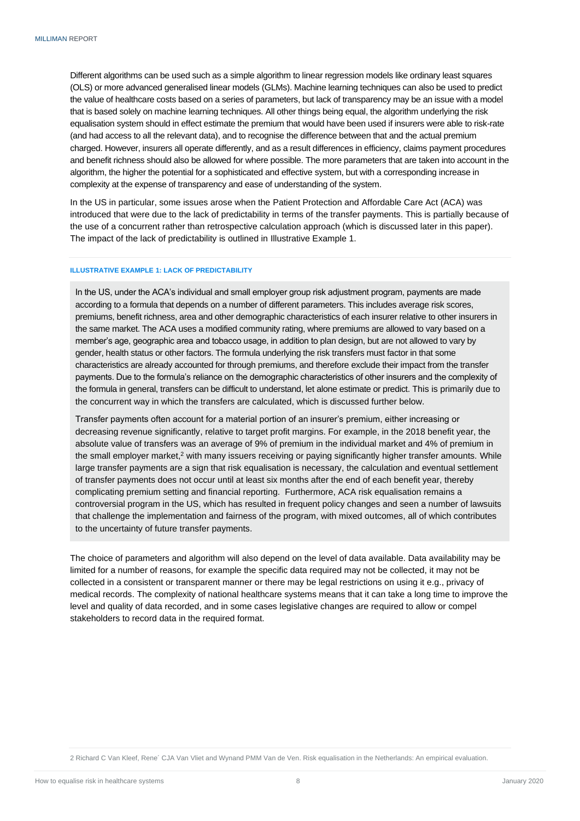Different algorithms can be used such as a simple algorithm to linear regression models like ordinary least squares (OLS) or more advanced generalised linear models (GLMs). Machine learning techniques can also be used to predict the value of healthcare costs based on a series of parameters, but lack of transparency may be an issue with a model that is based solely on machine learning techniques. All other things being equal, the algorithm underlying the risk equalisation system should in effect estimate the premium that would have been used if insurers were able to risk-rate (and had access to all the relevant data), and to recognise the difference between that and the actual premium charged. However, insurers all operate differently, and as a result differences in efficiency, claims payment procedures and benefit richness should also be allowed for where possible. The more parameters that are taken into account in the algorithm, the higher the potential for a sophisticated and effective system, but with a corresponding increase in complexity at the expense of transparency and ease of understanding of the system.

In the US in particular, some issues arose when the Patient Protection and Affordable Care Act (ACA) was introduced that were due to the lack of predictability in terms of the transfer payments. This is partially because of the use of a concurrent rather than retrospective calculation approach (which is discussed later in this paper). The impact of the lack of predictability is outlined in Illustrative Example 1.

#### **ILLUSTRATIVE EXAMPLE 1: LACK OF PREDICTABILITY**

In the US, under the ACA's individual and small employer group risk adjustment program, payments are made according to a formula that depends on a number of different parameters. This includes average risk scores, premiums, benefit richness, area and other demographic characteristics of each insurer relative to other insurers in the same market. The ACA uses a modified community rating, where premiums are allowed to vary based on a member's age, geographic area and tobacco usage, in addition to plan design, but are not allowed to vary by gender, health status or other factors. The formula underlying the risk transfers must factor in that some characteristics are already accounted for through premiums, and therefore exclude their impact from the transfer payments. Due to the formula's reliance on the demographic characteristics of other insurers and the complexity of the formula in general, transfers can be difficult to understand, let alone estimate or predict. This is primarily due to the concurrent way in which the transfers are calculated, which is discussed further below.

Transfer payments often account for a material portion of an insurer's premium, either increasing or decreasing revenue significantly, relative to target profit margins. For example, in the 2018 benefit year, the absolute value of transfers was an average of 9% of premium in the individual market and 4% of premium in the small employer market,<sup>2</sup> with many issuers receiving or paying significantly higher transfer amounts. While large transfer payments are a sign that risk equalisation is necessary, the calculation and eventual settlement of transfer payments does not occur until at least six months after the end of each benefit year, thereby complicating premium setting and financial reporting. Furthermore, ACA risk equalisation remains a controversial program in the US, which has resulted in frequent policy changes and seen a number of lawsuits that challenge the implementation and fairness of the program, with mixed outcomes, all of which contributes to the uncertainty of future transfer payments.

The choice of parameters and algorithm will also depend on the level of data available. Data availability may be limited for a number of reasons, for example the specific data required may not be collected, it may not be collected in a consistent or transparent manner or there may be legal restrictions on using it e.g., privacy of medical records. The complexity of national healthcare systems means that it can take a long time to improve the level and quality of data recorded, and in some cases legislative changes are required to allow or compel stakeholders to record data in the required format.

2 Richard C Van Kleef, Rene´ CJA Van Vliet and Wynand PMM Van de Ven. Risk equalisation in the Netherlands: An empirical evaluation.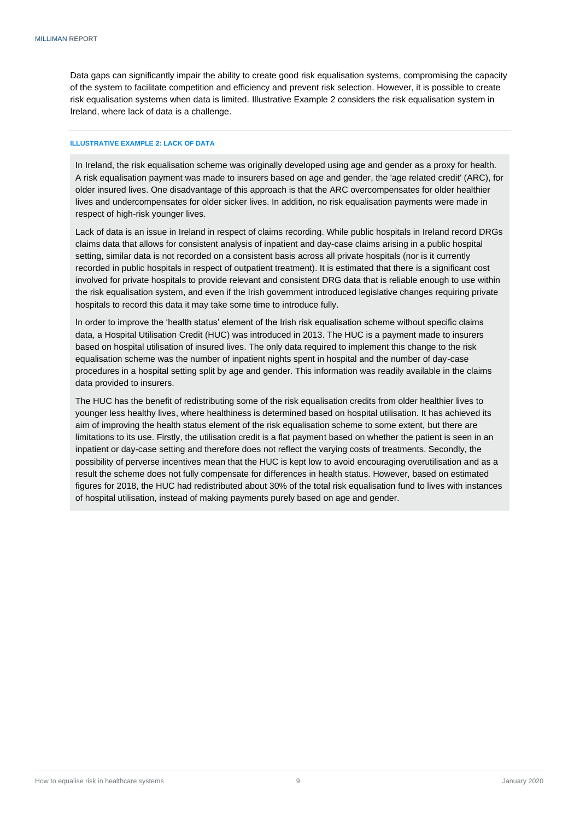Data gaps can significantly impair the ability to create good risk equalisation systems, compromising the capacity of the system to facilitate competition and efficiency and prevent risk selection. However, it is possible to create risk equalisation systems when data is limited. Illustrative Example 2 considers the risk equalisation system in Ireland, where lack of data is a challenge.

# **ILLUSTRATIVE EXAMPLE 2: LACK OF DATA**

In Ireland, the risk equalisation scheme was originally developed using age and gender as a proxy for health. A risk equalisation payment was made to insurers based on age and gender, the 'age related credit' (ARC), for older insured lives. One disadvantage of this approach is that the ARC overcompensates for older healthier lives and undercompensates for older sicker lives. In addition, no risk equalisation payments were made in respect of high-risk younger lives.

Lack of data is an issue in Ireland in respect of claims recording. While public hospitals in Ireland record DRGs claims data that allows for consistent analysis of inpatient and day-case claims arising in a public hospital setting, similar data is not recorded on a consistent basis across all private hospitals (nor is it currently recorded in public hospitals in respect of outpatient treatment). It is estimated that there is a significant cost involved for private hospitals to provide relevant and consistent DRG data that is reliable enough to use within the risk equalisation system, and even if the Irish government introduced legislative changes requiring private hospitals to record this data it may take some time to introduce fully.

In order to improve the 'health status' element of the Irish risk equalisation scheme without specific claims data, a Hospital Utilisation Credit (HUC) was introduced in 2013. The HUC is a payment made to insurers based on hospital utilisation of insured lives. The only data required to implement this change to the risk equalisation scheme was the number of inpatient nights spent in hospital and the number of day-case procedures in a hospital setting split by age and gender. This information was readily available in the claims data provided to insurers.

The HUC has the benefit of redistributing some of the risk equalisation credits from older healthier lives to younger less healthy lives, where healthiness is determined based on hospital utilisation. It has achieved its aim of improving the health status element of the risk equalisation scheme to some extent, but there are limitations to its use. Firstly, the utilisation credit is a flat payment based on whether the patient is seen in an inpatient or day-case setting and therefore does not reflect the varying costs of treatments. Secondly, the possibility of perverse incentives mean that the HUC is kept low to avoid encouraging overutilisation and as a result the scheme does not fully compensate for differences in health status. However, based on estimated figures for 2018, the HUC had redistributed about 30% of the total risk equalisation fund to lives with instances of hospital utilisation, instead of making payments purely based on age and gender.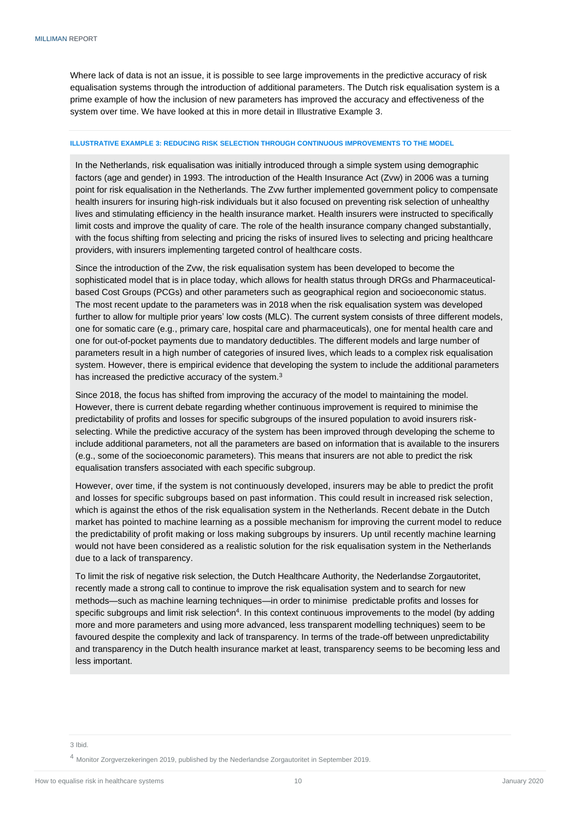Where lack of data is not an issue, it is possible to see large improvements in the predictive accuracy of risk equalisation systems through the introduction of additional parameters. The Dutch risk equalisation system is a prime example of how the inclusion of new parameters has improved the accuracy and effectiveness of the system over time. We have looked at this in more detail in Illustrative Example 3.

## **ILLUSTRATIVE EXAMPLE 3: REDUCING RISK SELECTION THROUGH CONTINUOUS IMPROVEMENTS TO THE MODEL**

In the Netherlands, risk equalisation was initially introduced through a simple system using demographic factors (age and gender) in 1993. The introduction of the Health Insurance Act (Zvw) in 2006 was a turning point for risk equalisation in the Netherlands. The Zvw further implemented government policy to compensate health insurers for insuring high-risk individuals but it also focused on preventing risk selection of unhealthy lives and stimulating efficiency in the health insurance market. Health insurers were instructed to specifically limit costs and improve the quality of care. The role of the health insurance company changed substantially, with the focus shifting from selecting and pricing the risks of insured lives to selecting and pricing healthcare providers, with insurers implementing targeted control of healthcare costs.

Since the introduction of the Zvw, the risk equalisation system has been developed to become the sophisticated model that is in place today, which allows for health status through DRGs and Pharmaceuticalbased Cost Groups (PCGs) and other parameters such as geographical region and socioeconomic status. The most recent update to the parameters was in 2018 when the risk equalisation system was developed further to allow for multiple prior years' low costs (MLC). The current system consists of three different models, one for somatic care (e.g., primary care, hospital care and pharmaceuticals), one for mental health care and one for out-of-pocket payments due to mandatory deductibles. The different models and large number of parameters result in a high number of categories of insured lives, which leads to a complex risk equalisation system. However, there is empirical evidence that developing the system to include the additional parameters has increased the predictive accuracy of the system.<sup>3</sup>

Since 2018, the focus has shifted from improving the accuracy of the model to maintaining the model. However, there is current debate regarding whether continuous improvement is required to minimise the predictability of profits and losses for specific subgroups of the insured population to avoid insurers riskselecting. While the predictive accuracy of the system has been improved through developing the scheme to include additional parameters, not all the parameters are based on information that is available to the insurers (e.g., some of the socioeconomic parameters). This means that insurers are not able to predict the risk equalisation transfers associated with each specific subgroup.

However, over time, if the system is not continuously developed, insurers may be able to predict the profit and losses for specific subgroups based on past information. This could result in increased risk selection, which is against the ethos of the risk equalisation system in the Netherlands. Recent debate in the Dutch market has pointed to machine learning as a possible mechanism for improving the current model to reduce the predictability of profit making or loss making subgroups by insurers. Up until recently machine learning would not have been considered as a realistic solution for the risk equalisation system in the Netherlands due to a lack of transparency.

To limit the risk of negative risk selection, the Dutch Healthcare Authority, the Nederlandse Zorgautoritet, recently made a strong call to continue to improve the risk equalisation system and to search for new methods—such as machine learning techniques—in order to minimise predictable profits and losses for specific subgroups and limit risk selection<sup>4</sup>. In this context continuous improvements to the model (by adding more and more parameters and using more advanced, less transparent modelling techniques) seem to be favoured despite the complexity and lack of transparency. In terms of the trade-off between unpredictability and transparency in the Dutch health insurance market at least, transparency seems to be becoming less and less important.

3 Ibid.

<sup>4</sup> Monitor Zorgverzekeringen 2019, published by the Nederlandse Zorgautoritet in September 2019.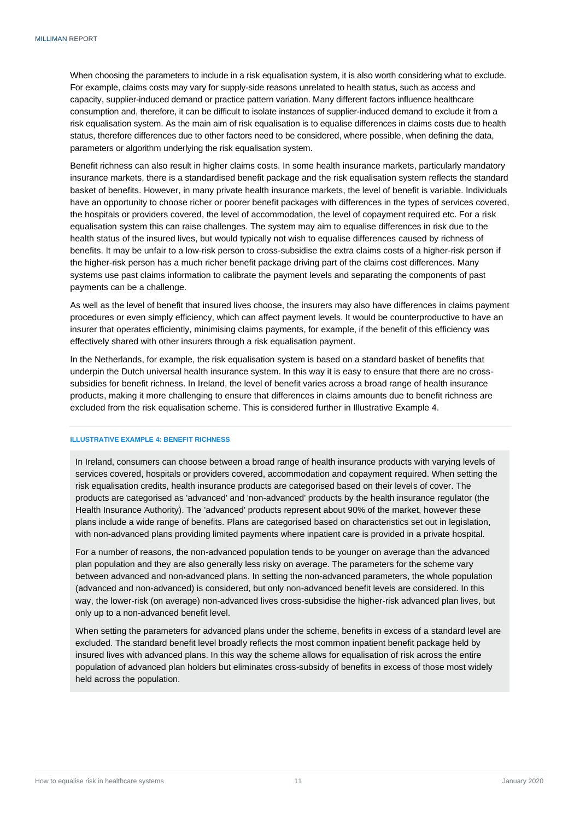When choosing the parameters to include in a risk equalisation system, it is also worth considering what to exclude. For example, claims costs may vary for supply-side reasons unrelated to health status, such as access and capacity, supplier-induced demand or practice pattern variation. Many different factors influence healthcare consumption and, therefore, it can be difficult to isolate instances of supplier-induced demand to exclude it from a risk equalisation system. As the main aim of risk equalisation is to equalise differences in claims costs due to health status, therefore differences due to other factors need to be considered, where possible, when defining the data, parameters or algorithm underlying the risk equalisation system.

Benefit richness can also result in higher claims costs. In some health insurance markets, particularly mandatory insurance markets, there is a standardised benefit package and the risk equalisation system reflects the standard basket of benefits. However, in many private health insurance markets, the level of benefit is variable. Individuals have an opportunity to choose richer or poorer benefit packages with differences in the types of services covered, the hospitals or providers covered, the level of accommodation, the level of copayment required etc. For a risk equalisation system this can raise challenges. The system may aim to equalise differences in risk due to the health status of the insured lives, but would typically not wish to equalise differences caused by richness of benefits. It may be unfair to a low-risk person to cross-subsidise the extra claims costs of a higher-risk person if the higher-risk person has a much richer benefit package driving part of the claims cost differences. Many systems use past claims information to calibrate the payment levels and separating the components of past payments can be a challenge.

As well as the level of benefit that insured lives choose, the insurers may also have differences in claims payment procedures or even simply efficiency, which can affect payment levels. It would be counterproductive to have an insurer that operates efficiently, minimising claims payments, for example, if the benefit of this efficiency was effectively shared with other insurers through a risk equalisation payment.

In the Netherlands, for example, the risk equalisation system is based on a standard basket of benefits that underpin the Dutch universal health insurance system. In this way it is easy to ensure that there are no crosssubsidies for benefit richness. In Ireland, the level of benefit varies across a broad range of health insurance products, making it more challenging to ensure that differences in claims amounts due to benefit richness are excluded from the risk equalisation scheme. This is considered further in Illustrative Example 4.

#### **ILLUSTRATIVE EXAMPLE 4: BENEFIT RICHNESS**

In Ireland, consumers can choose between a broad range of health insurance products with varying levels of services covered, hospitals or providers covered, accommodation and copayment required. When setting the risk equalisation credits, health insurance products are categorised based on their levels of cover. The products are categorised as 'advanced' and 'non-advanced' products by the health insurance regulator (the Health Insurance Authority). The 'advanced' products represent about 90% of the market, however these plans include a wide range of benefits. Plans are categorised based on characteristics set out in legislation, with non-advanced plans providing limited payments where inpatient care is provided in a private hospital.

For a number of reasons, the non-advanced population tends to be younger on average than the advanced plan population and they are also generally less risky on average. The parameters for the scheme vary between advanced and non-advanced plans. In setting the non-advanced parameters, the whole population (advanced and non-advanced) is considered, but only non-advanced benefit levels are considered. In this way, the lower-risk (on average) non-advanced lives cross-subsidise the higher-risk advanced plan lives, but only up to a non-advanced benefit level.

<span id="page-13-0"></span>When setting the parameters for advanced plans under the scheme, benefits in excess of a standard level are excluded. The standard benefit level broadly reflects the most common inpatient benefit package held by insured lives with advanced plans. In this way the scheme allows for equalisation of risk across the entire population of advanced plan holders but eliminates cross-subsidy of benefits in excess of those most widely held across the population.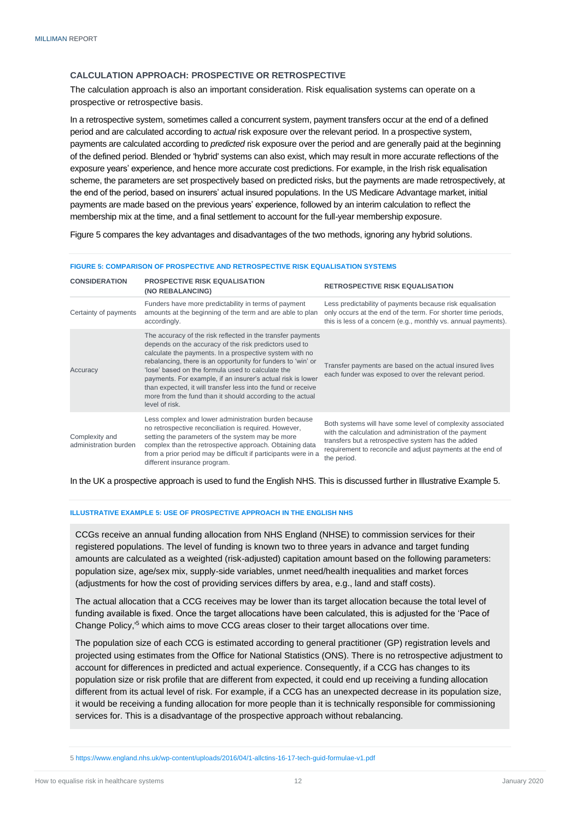# **CALCULATION APPROACH: PROSPECTIVE OR RETROSPECTIVE**

The calculation approach is also an important consideration. Risk equalisation systems can operate on a prospective or retrospective basis.

In a retrospective system, sometimes called a concurrent system, payment transfers occur at the end of a defined period and are calculated according to *actual* risk exposure over the relevant period. In a prospective system, payments are calculated according to *predicted* risk exposure over the period and are generally paid at the beginning of the defined period. Blended or 'hybrid' systems can also exist, which may result in more accurate reflections of the exposure years' experience, and hence more accurate cost predictions. For example, in the Irish risk equalisation scheme, the parameters are set prospectively based on predicted risks, but the payments are made retrospectively, at the end of the period, based on insurers' actual insured populations. In the US Medicare Advantage market, initial payments are made based on the previous years' experience, followed by an interim calculation to reflect the membership mix at the time, and a final settlement to account for the full-year membership exposure.

Figure 5 compares the key advantages and disadvantages of the two methods, ignoring any hybrid solutions.

#### **FIGURE 5: COMPARISON OF PROSPECTIVE AND RETROSPECTIVE RISK EQUALISATION SYSTEMS**

| <b>CONSIDERATION</b>                    | <b>PROSPECTIVE RISK EQUALISATION</b><br>(NO REBALANCING)                                                                                                                                                                                                                                                                                                                                                                                                                                                             | <b>RETROSPECTIVE RISK EQUALISATION</b>                                                                                                                                                                                                                  |
|-----------------------------------------|----------------------------------------------------------------------------------------------------------------------------------------------------------------------------------------------------------------------------------------------------------------------------------------------------------------------------------------------------------------------------------------------------------------------------------------------------------------------------------------------------------------------|---------------------------------------------------------------------------------------------------------------------------------------------------------------------------------------------------------------------------------------------------------|
| Certainty of payments                   | Funders have more predictability in terms of payment<br>amounts at the beginning of the term and are able to plan<br>accordingly.                                                                                                                                                                                                                                                                                                                                                                                    | Less predictability of payments because risk equalisation<br>only occurs at the end of the term. For shorter time periods,<br>this is less of a concern (e.g., monthly vs. annual payments).                                                            |
| Accuracy                                | The accuracy of the risk reflected in the transfer payments<br>depends on the accuracy of the risk predictors used to<br>calculate the payments. In a prospective system with no<br>rebalancing, there is an opportunity for funders to 'win' or<br>'lose' based on the formula used to calculate the<br>payments. For example, if an insurer's actual risk is lower<br>than expected, it will transfer less into the fund or receive<br>more from the fund than it should according to the actual<br>level of risk. | Transfer payments are based on the actual insured lives<br>each funder was exposed to over the relevant period.                                                                                                                                         |
| Complexity and<br>administration burden | Less complex and lower administration burden because<br>no retrospective reconciliation is required. However,<br>setting the parameters of the system may be more<br>complex than the retrospective approach. Obtaining data<br>from a prior period may be difficult if participants were in a<br>different insurance program.                                                                                                                                                                                       | Both systems will have some level of complexity associated<br>with the calculation and administration of the payment<br>transfers but a retrospective system has the added<br>requirement to reconcile and adjust payments at the end of<br>the period. |

In the UK a prospective approach is used to fund the English NHS. This is discussed further in Illustrative Example 5.

#### **ILLUSTRATIVE EXAMPLE 5: USE OF PROSPECTIVE APPROACH IN THE ENGLISH NHS**

CCGs receive an annual funding allocation from NHS England (NHSE) to commission services for their registered populations. The level of funding is known two to three years in advance and target funding amounts are calculated as a weighted (risk-adjusted) capitation amount based on the following parameters: population size, age/sex mix, supply-side variables, unmet need/health inequalities and market forces (adjustments for how the cost of providing services differs by area, e.g., land and staff costs).

The actual allocation that a CCG receives may be lower than its target allocation because the total level of funding available is fixed. Once the target allocations have been calculated, this is adjusted for the 'Pace of Change Policy,'<sup>5</sup> which aims to move CCG areas closer to their target allocations over time.

The population size of each CCG is estimated according to general practitioner (GP) registration levels and projected using estimates from the Office for National Statistics (ONS). There is no retrospective adjustment to account for differences in predicted and actual experience. Consequently, if a CCG has changes to its population size or risk profile that are different from expected, it could end up receiving a funding allocation different from its actual level of risk. For example, if a CCG has an unexpected decrease in its population size, it would be receiving a funding allocation for more people than it is technically responsible for commissioning services for. This is a disadvantage of the prospective approach without rebalancing.

<sup>5</sup> https://www.england.nhs.uk/wp-content/uploads/2016/04/1-allctins-16-17-tech-guid-formulae-v1.pdf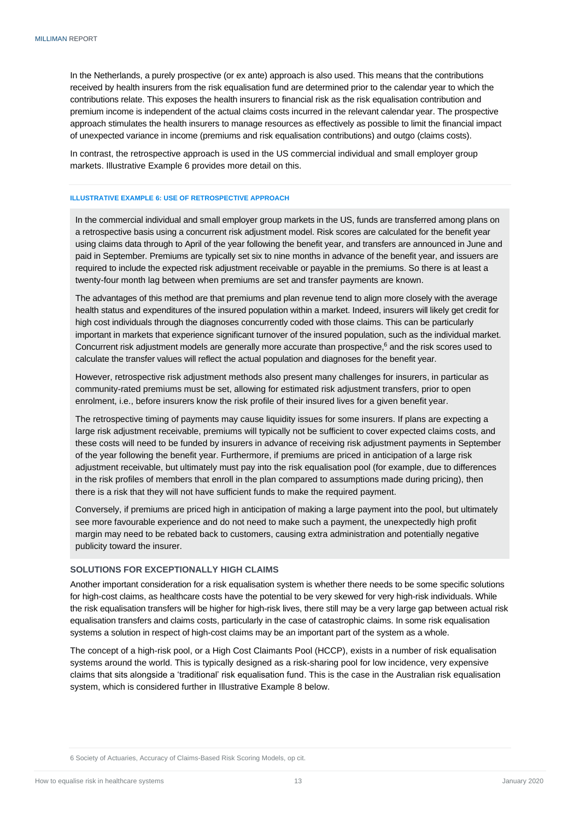In the Netherlands, a purely prospective (or ex ante) approach is also used. This means that the contributions received by health insurers from the risk equalisation fund are determined prior to the calendar year to which the contributions relate. This exposes the health insurers to financial risk as the risk equalisation contribution and premium income is independent of the actual claims costs incurred in the relevant calendar year. The prospective approach stimulates the health insurers to manage resources as effectively as possible to limit the financial impact of unexpected variance in income (premiums and risk equalisation contributions) and outgo (claims costs).

In contrast, the retrospective approach is used in the US commercial individual and small employer group markets. Illustrative Example 6 provides more detail on this.

## **ILLUSTRATIVE EXAMPLE 6: USE OF RETROSPECTIVE APPROACH**

In the commercial individual and small employer group markets in the US, funds are transferred among plans on a retrospective basis using a concurrent risk adjustment model. Risk scores are calculated for the benefit year using claims data through to April of the year following the benefit year, and transfers are announced in June and paid in September. Premiums are typically set six to nine months in advance of the benefit year, and issuers are required to include the expected risk adjustment receivable or payable in the premiums. So there is at least a twenty-four month lag between when premiums are set and transfer payments are known.

The advantages of this method are that premiums and plan revenue tend to align more closely with the average health status and expenditures of the insured population within a market. Indeed, insurers will likely get credit for high cost individuals through the diagnoses concurrently coded with those claims. This can be particularly important in markets that experience significant turnover of the insured population, such as the individual market. Concurrent risk adjustment models are generally more accurate than prospective, <sup>6</sup> and the risk scores used to calculate the transfer values will reflect the actual population and diagnoses for the benefit year.

However, retrospective risk adjustment methods also present many challenges for insurers, in particular as community-rated premiums must be set, allowing for estimated risk adjustment transfers, prior to open enrolment, i.e., before insurers know the risk profile of their insured lives for a given benefit year.

The retrospective timing of payments may cause liquidity issues for some insurers. If plans are expecting a large risk adjustment receivable, premiums will typically not be sufficient to cover expected claims costs, and these costs will need to be funded by insurers in advance of receiving risk adjustment payments in September of the year following the benefit year. Furthermore, if premiums are priced in anticipation of a large risk adjustment receivable, but ultimately must pay into the risk equalisation pool (for example, due to differences in the risk profiles of members that enroll in the plan compared to assumptions made during pricing), then there is a risk that they will not have sufficient funds to make the required payment.

Conversely, if premiums are priced high in anticipation of making a large payment into the pool, but ultimately see more favourable experience and do not need to make such a payment, the unexpectedly high profit margin may need to be rebated back to customers, causing extra administration and potentially negative publicity toward the insurer.

## <span id="page-15-0"></span>**SOLUTIONS FOR EXCEPTIONALLY HIGH CLAIMS**

Another important consideration for a risk equalisation system is whether there needs to be some specific solutions for high-cost claims, as healthcare costs have the potential to be very skewed for very high-risk individuals. While the risk equalisation transfers will be higher for high-risk lives, there still may be a very large gap between actual risk equalisation transfers and claims costs, particularly in the case of catastrophic claims. In some risk equalisation systems a solution in respect of high-cost claims may be an important part of the system as a whole.

The concept of a high-risk pool, or a High Cost Claimants Pool (HCCP), exists in a number of risk equalisation systems around the world. This is typically designed as a risk-sharing pool for low incidence, very expensive claims that sits alongside a 'traditional' risk equalisation fund. This is the case in the Australian risk equalisation system, which is considered further in Illustrative Example 8 below.

6 Society of Actuaries, Accuracy of Claims-Based Risk Scoring Models, op cit.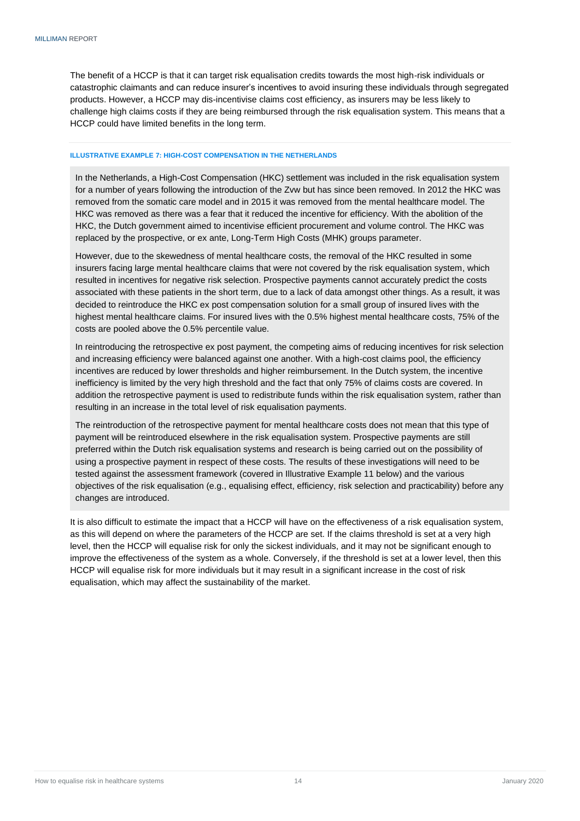The benefit of a HCCP is that it can target risk equalisation credits towards the most high-risk individuals or catastrophic claimants and can reduce insurer's incentives to avoid insuring these individuals through segregated products. However, a HCCP may dis-incentivise claims cost efficiency, as insurers may be less likely to challenge high claims costs if they are being reimbursed through the risk equalisation system. This means that a HCCP could have limited benefits in the long term.

#### **ILLUSTRATIVE EXAMPLE 7: HIGH-COST COMPENSATION IN THE NETHERLANDS**

In the Netherlands, a High-Cost Compensation (HKC) settlement was included in the risk equalisation system for a number of years following the introduction of the Zvw but has since been removed. In 2012 the HKC was removed from the somatic care model and in 2015 it was removed from the mental healthcare model. The HKC was removed as there was a fear that it reduced the incentive for efficiency. With the abolition of the HKC, the Dutch government aimed to incentivise efficient procurement and volume control. The HKC was replaced by the prospective, or ex ante, Long-Term High Costs (MHK) groups parameter.

However, due to the skewedness of mental healthcare costs, the removal of the HKC resulted in some insurers facing large mental healthcare claims that were not covered by the risk equalisation system, which resulted in incentives for negative risk selection. Prospective payments cannot accurately predict the costs associated with these patients in the short term, due to a lack of data amongst other things. As a result, it was decided to reintroduce the HKC ex post compensation solution for a small group of insured lives with the highest mental healthcare claims. For insured lives with the 0.5% highest mental healthcare costs, 75% of the costs are pooled above the 0.5% percentile value.

In reintroducing the retrospective ex post payment, the competing aims of reducing incentives for risk selection and increasing efficiency were balanced against one another. With a high-cost claims pool, the efficiency incentives are reduced by lower thresholds and higher reimbursement. In the Dutch system, the incentive inefficiency is limited by the very high threshold and the fact that only 75% of claims costs are covered. In addition the retrospective payment is used to redistribute funds within the risk equalisation system, rather than resulting in an increase in the total level of risk equalisation payments.

The reintroduction of the retrospective payment for mental healthcare costs does not mean that this type of payment will be reintroduced elsewhere in the risk equalisation system. Prospective payments are still preferred within the Dutch risk equalisation systems and research is being carried out on the possibility of using a prospective payment in respect of these costs. The results of these investigations will need to be tested against the assessment framework (covered in Illustrative Example 11 below) and the various objectives of the risk equalisation (e.g., equalising effect, efficiency, risk selection and practicability) before any changes are introduced.

It is also difficult to estimate the impact that a HCCP will have on the effectiveness of a risk equalisation system, as this will depend on where the parameters of the HCCP are set. If the claims threshold is set at a very high level, then the HCCP will equalise risk for only the sickest individuals, and it may not be significant enough to improve the effectiveness of the system as a whole. Conversely, if the threshold is set at a lower level, then this HCCP will equalise risk for more individuals but it may result in a significant increase in the cost of risk equalisation, which may affect the sustainability of the market.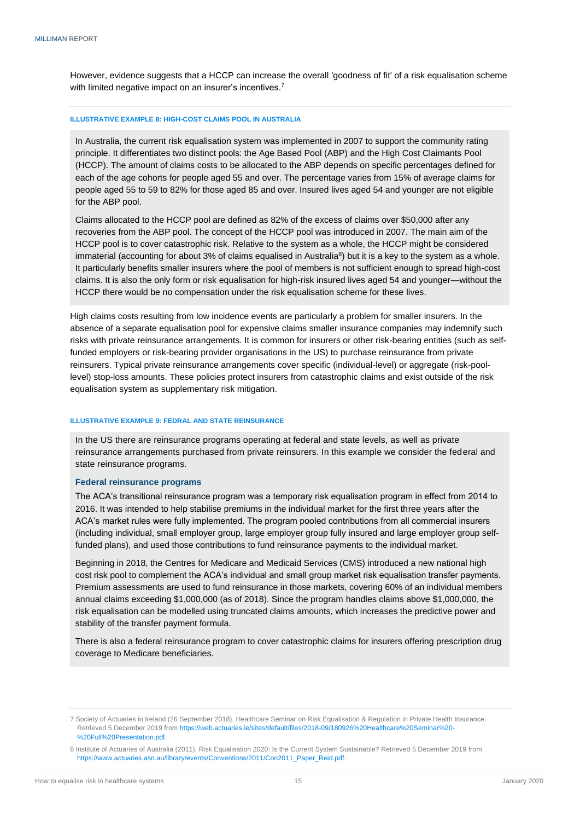However, evidence suggests that a HCCP can increase the overall 'goodness of fit' of a risk equalisation scheme with limited negative impact on an insurer's incentives.<sup>7</sup>

#### **ILLUSTRATIVE EXAMPLE 8: HIGH-COST CLAIMS POOL IN AUSTRALIA**

In Australia, the current risk equalisation system was implemented in 2007 to support the community rating principle. It differentiates two distinct pools: the Age Based Pool (ABP) and the High Cost Claimants Pool (HCCP). The amount of claims costs to be allocated to the ABP depends on specific percentages defined for each of the age cohorts for people aged 55 and over. The percentage varies from 15% of average claims for people aged 55 to 59 to 82% for those aged 85 and over. Insured lives aged 54 and younger are not eligible for the ABP pool.

Claims allocated to the HCCP pool are defined as 82% of the excess of claims over \$50,000 after any recoveries from the ABP pool. The concept of the HCCP pool was introduced in 2007. The main aim of the HCCP pool is to cover catastrophic risk. Relative to the system as a whole, the HCCP might be considered immaterial (accounting for about 3% of claims equalised in Australia<sup>8</sup>) but it is a key to the system as a whole. It particularly benefits smaller insurers where the pool of members is not sufficient enough to spread high-cost claims. It is also the only form or risk equalisation for high-risk insured lives aged 54 and younger—without the HCCP there would be no compensation under the risk equalisation scheme for these lives.

High claims costs resulting from low incidence events are particularly a problem for smaller insurers. In the absence of a separate equalisation pool for expensive claims smaller insurance companies may indemnify such risks with private reinsurance arrangements. It is common for insurers or other risk-bearing entities (such as selffunded employers or risk-bearing provider organisations in the US) to purchase reinsurance from private reinsurers. Typical private reinsurance arrangements cover specific (individual-level) or aggregate (risk-poollevel) stop-loss amounts. These policies protect insurers from catastrophic claims and exist outside of the risk equalisation system as supplementary risk mitigation.

#### **ILLUSTRATIVE EXAMPLE 9: FEDRAL AND STATE REINSURANCE**

In the US there are reinsurance programs operating at federal and state levels, as well as private reinsurance arrangements purchased from private reinsurers. In this example we consider the federal and state reinsurance programs.

#### **Federal reinsurance programs**

The ACA's transitional reinsurance program was a temporary risk equalisation program in effect from 2014 to 2016. It was intended to help stabilise premiums in the individual market for the first three years after the ACA's market rules were fully implemented. The program pooled contributions from all commercial insurers (including individual, small employer group, large employer group fully insured and large employer group selffunded plans), and used those contributions to fund reinsurance payments to the individual market.

Beginning in 2018, the Centres for Medicare and Medicaid Services (CMS) introduced a new national high cost risk pool to complement the ACA's individual and small group market risk equalisation transfer payments. Premium assessments are used to fund reinsurance in those markets, covering 60% of an individual members annual claims exceeding \$1,000,000 (as of 2018). Since the program handles claims above \$1,000,000, the risk equalisation can be modelled using truncated claims amounts, which increases the predictive power and stability of the transfer payment formula.

There is also a federal reinsurance program to cover catastrophic claims for insurers offering prescription drug coverage to Medicare beneficiaries.

<sup>7</sup> Society of Actuaries in Ireland (26 September 2018). Healthcare Seminar on Risk Equalisation & Regulation in Private Health Insurance. Retrieved 5 December 2019 fro[m https://web.actuaries.ie/sites/default/files/2018-09/180926%20Healthcare%20Seminar%20-](https://web.actuaries.ie/sites/default/files/2018-09/180926%20Healthcare%20Seminar%20-%20Full%20Presentation.pdf) [%20Full%20Presentation.pdf.](https://web.actuaries.ie/sites/default/files/2018-09/180926%20Healthcare%20Seminar%20-%20Full%20Presentation.pdf)

<sup>8</sup> Institute of Actuaries of Australia (2011). Risk Equalisation 2020: Is the Current System Sustainable? Retrieved 5 December 2019 from [https://www.actuaries.asn.au/library/events/Conventions/2011/Con2011\\_Paper\\_Reid.pdf.](https://www.actuaries.asn.au/library/events/Conventions/2011/Con2011_Paper_Reid.pdf)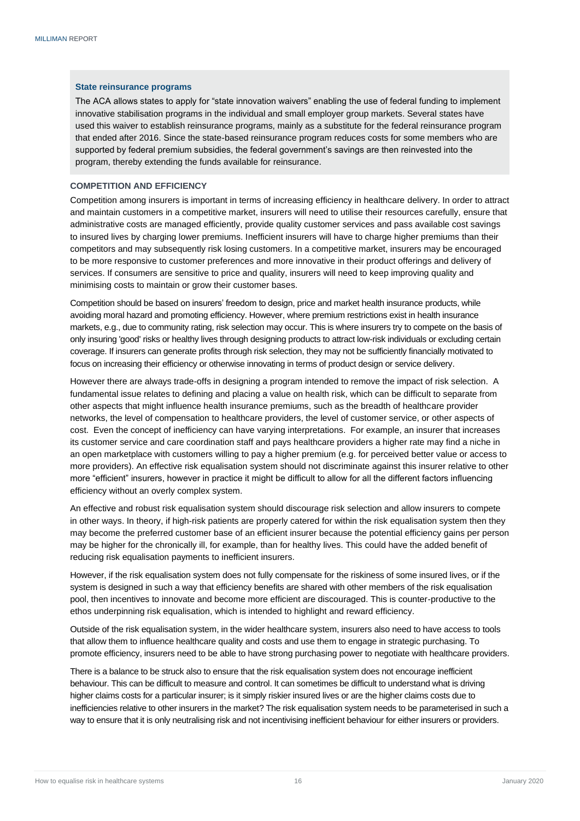### **State reinsurance programs**

The ACA allows states to apply for "state innovation waivers" enabling the use of federal funding to implement innovative stabilisation programs in the individual and small employer group markets. Several states have used this waiver to establish reinsurance programs, mainly as a substitute for the federal reinsurance program that ended after 2016. Since the state-based reinsurance program reduces costs for some members who are supported by federal premium subsidies, the federal government's savings are then reinvested into the program, thereby extending the funds available for reinsurance.

# <span id="page-18-0"></span>**COMPETITION AND EFFICIENCY**

Competition among insurers is important in terms of increasing efficiency in healthcare delivery. In order to attract and maintain customers in a competitive market, insurers will need to utilise their resources carefully, ensure that administrative costs are managed efficiently, provide quality customer services and pass available cost savings to insured lives by charging lower premiums. Inefficient insurers will have to charge higher premiums than their competitors and may subsequently risk losing customers. In a competitive market, insurers may be encouraged to be more responsive to customer preferences and more innovative in their product offerings and delivery of services. If consumers are sensitive to price and quality, insurers will need to keep improving quality and minimising costs to maintain or grow their customer bases.

Competition should be based on insurers' freedom to design, price and market health insurance products, while avoiding moral hazard and promoting efficiency. However, where premium restrictions exist in health insurance markets, e.g., due to community rating, risk selection may occur. This is where insurers try to compete on the basis of only insuring 'good' risks or healthy lives through designing products to attract low-risk individuals or excluding certain coverage. If insurers can generate profits through risk selection, they may not be sufficiently financially motivated to focus on increasing their efficiency or otherwise innovating in terms of product design or service delivery.

However there are always trade-offs in designing a program intended to remove the impact of risk selection. A fundamental issue relates to defining and placing a value on health risk, which can be difficult to separate from other aspects that might influence health insurance premiums, such as the breadth of healthcare provider networks, the level of compensation to healthcare providers, the level of customer service, or other aspects of cost. Even the concept of inefficiency can have varying interpretations. For example, an insurer that increases its customer service and care coordination staff and pays healthcare providers a higher rate may find a niche in an open marketplace with customers willing to pay a higher premium (e.g. for perceived better value or access to more providers). An effective risk equalisation system should not discriminate against this insurer relative to other more "efficient" insurers, however in practice it might be difficult to allow for all the different factors influencing efficiency without an overly complex system.

An effective and robust risk equalisation system should discourage risk selection and allow insurers to compete in other ways. In theory, if high-risk patients are properly catered for within the risk equalisation system then they may become the preferred customer base of an efficient insurer because the potential efficiency gains per person may be higher for the chronically ill, for example, than for healthy lives. This could have the added benefit of reducing risk equalisation payments to inefficient insurers.

However, if the risk equalisation system does not fully compensate for the riskiness of some insured lives, or if the system is designed in such a way that efficiency benefits are shared with other members of the risk equalisation pool, then incentives to innovate and become more efficient are discouraged. This is counter-productive to the ethos underpinning risk equalisation, which is intended to highlight and reward efficiency.

Outside of the risk equalisation system, in the wider healthcare system, insurers also need to have access to tools that allow them to influence healthcare quality and costs and use them to engage in strategic purchasing. To promote efficiency, insurers need to be able to have strong purchasing power to negotiate with healthcare providers.

There is a balance to be struck also to ensure that the risk equalisation system does not encourage inefficient behaviour. This can be difficult to measure and control. It can sometimes be difficult to understand what is driving higher claims costs for a particular insurer; is it simply riskier insured lives or are the higher claims costs due to inefficiencies relative to other insurers in the market? The risk equalisation system needs to be parameterised in such a way to ensure that it is only neutralising risk and not incentivising inefficient behaviour for either insurers or providers.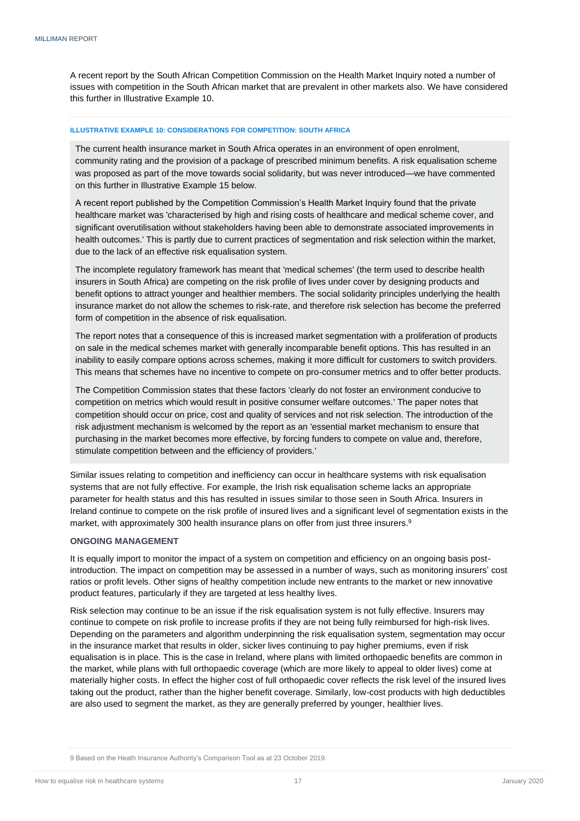A recent report by the South African Competition Commission on the Health Market Inquiry noted a number of issues with competition in the South African market that are prevalent in other markets also. We have considered this further in Illustrative Example 10.

#### **ILLUSTRATIVE EXAMPLE 10: CONSIDERATIONS FOR COMPETITION: SOUTH AFRICA**

The current health insurance market in South Africa operates in an environment of open enrolment, community rating and the provision of a package of prescribed minimum benefits. A risk equalisation scheme was proposed as part of the move towards social solidarity, but was never introduced—we have commented on this further in Illustrative Example 15 below.

A recent report published by the Competition Commission's Health Market Inquiry found that the private healthcare market was 'characterised by high and rising costs of healthcare and medical scheme cover, and significant overutilisation without stakeholders having been able to demonstrate associated improvements in health outcomes.' This is partly due to current practices of segmentation and risk selection within the market, due to the lack of an effective risk equalisation system.

The incomplete regulatory framework has meant that 'medical schemes' (the term used to describe health insurers in South Africa) are competing on the risk profile of lives under cover by designing products and benefit options to attract younger and healthier members. The social solidarity principles underlying the health insurance market do not allow the schemes to risk-rate, and therefore risk selection has become the preferred form of competition in the absence of risk equalisation.

The report notes that a consequence of this is increased market segmentation with a proliferation of products on sale in the medical schemes market with generally incomparable benefit options. This has resulted in an inability to easily compare options across schemes, making it more difficult for customers to switch providers. This means that schemes have no incentive to compete on pro-consumer metrics and to offer better products.

The Competition Commission states that these factors 'clearly do not foster an environment conducive to competition on metrics which would result in positive consumer welfare outcomes.' The paper notes that competition should occur on price, cost and quality of services and not risk selection. The introduction of the risk adjustment mechanism is welcomed by the report as an 'essential market mechanism to ensure that purchasing in the market becomes more effective, by forcing funders to compete on value and, therefore, stimulate competition between and the efficiency of providers.'

Similar issues relating to competition and inefficiency can occur in healthcare systems with risk equalisation systems that are not fully effective. For example, the Irish risk equalisation scheme lacks an appropriate parameter for health status and this has resulted in issues similar to those seen in South Africa. Insurers in Ireland continue to compete on the risk profile of insured lives and a significant level of segmentation exists in the market, with approximately 300 health insurance plans on offer from just three insurers.<sup>9</sup>

## <span id="page-19-0"></span>**ONGOING MANAGEMENT**

It is equally import to monitor the impact of a system on competition and efficiency on an ongoing basis postintroduction. The impact on competition may be assessed in a number of ways, such as monitoring insurers' cost ratios or profit levels. Other signs of healthy competition include new entrants to the market or new innovative product features, particularly if they are targeted at less healthy lives.

Risk selection may continue to be an issue if the risk equalisation system is not fully effective. Insurers may continue to compete on risk profile to increase profits if they are not being fully reimbursed for high-risk lives. Depending on the parameters and algorithm underpinning the risk equalisation system, segmentation may occur in the insurance market that results in older, sicker lives continuing to pay higher premiums, even if risk equalisation is in place. This is the case in Ireland, where plans with limited orthopaedic benefits are common in the market, while plans with full orthopaedic coverage (which are more likely to appeal to older lives) come at materially higher costs. In effect the higher cost of full orthopaedic cover reflects the risk level of the insured lives taking out the product, rather than the higher benefit coverage. Similarly, low-cost products with high deductibles are also used to segment the market, as they are generally preferred by younger, healthier lives.

<sup>9</sup> Based on the Heath Insurance Authority's Comparison Tool as at 23 October 2019.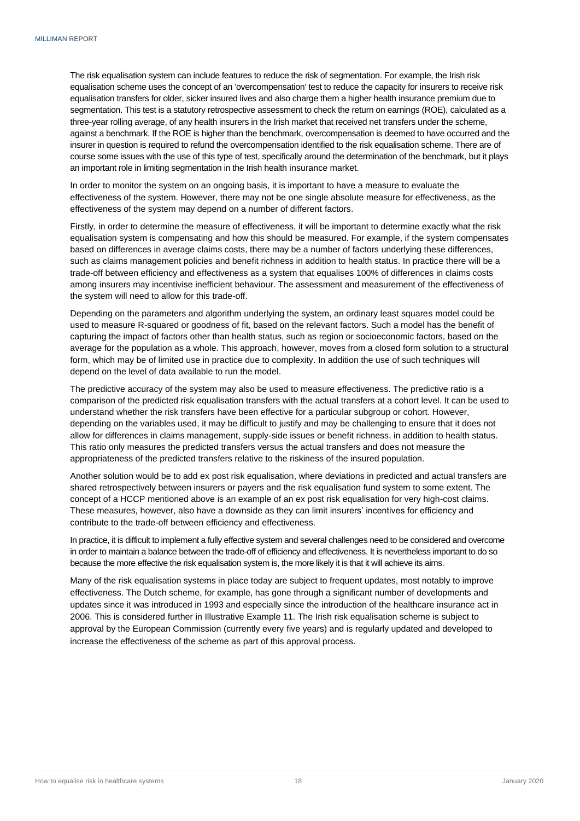The risk equalisation system can include features to reduce the risk of segmentation. For example, the Irish risk equalisation scheme uses the concept of an 'overcompensation' test to reduce the capacity for insurers to receive risk equalisation transfers for older, sicker insured lives and also charge them a higher health insurance premium due to segmentation. This test is a statutory retrospective assessment to check the return on earnings (ROE), calculated as a three-year rolling average, of any health insurers in the Irish market that received net transfers under the scheme, against a benchmark. If the ROE is higher than the benchmark, overcompensation is deemed to have occurred and the insurer in question is required to refund the overcompensation identified to the risk equalisation scheme. There are of course some issues with the use of this type of test, specifically around the determination of the benchmark, but it plays an important role in limiting segmentation in the Irish health insurance market.

In order to monitor the system on an ongoing basis, it is important to have a measure to evaluate the effectiveness of the system. However, there may not be one single absolute measure for effectiveness, as the effectiveness of the system may depend on a number of different factors.

Firstly, in order to determine the measure of effectiveness, it will be important to determine exactly what the risk equalisation system is compensating and how this should be measured. For example, if the system compensates based on differences in average claims costs, there may be a number of factors underlying these differences, such as claims management policies and benefit richness in addition to health status. In practice there will be a trade-off between efficiency and effectiveness as a system that equalises 100% of differences in claims costs among insurers may incentivise inefficient behaviour. The assessment and measurement of the effectiveness of the system will need to allow for this trade-off.

Depending on the parameters and algorithm underlying the system, an ordinary least squares model could be used to measure R-squared or goodness of fit, based on the relevant factors. Such a model has the benefit of capturing the impact of factors other than health status, such as region or socioeconomic factors, based on the average for the population as a whole. This approach, however, moves from a closed form solution to a structural form, which may be of limited use in practice due to complexity. In addition the use of such techniques will depend on the level of data available to run the model.

The predictive accuracy of the system may also be used to measure effectiveness. The predictive ratio is a comparison of the predicted risk equalisation transfers with the actual transfers at a cohort level. It can be used to understand whether the risk transfers have been effective for a particular subgroup or cohort. However, depending on the variables used, it may be difficult to justify and may be challenging to ensure that it does not allow for differences in claims management, supply-side issues or benefit richness, in addition to health status. This ratio only measures the predicted transfers versus the actual transfers and does not measure the appropriateness of the predicted transfers relative to the riskiness of the insured population.

Another solution would be to add ex post risk equalisation, where deviations in predicted and actual transfers are shared retrospectively between insurers or payers and the risk equalisation fund system to some extent. The concept of a HCCP mentioned above is an example of an ex post risk equalisation for very high-cost claims. These measures, however, also have a downside as they can limit insurers' incentives for efficiency and contribute to the trade-off between efficiency and effectiveness.

In practice, it is difficult to implement a fully effective system and several challenges need to be considered and overcome in order to maintain a balance between the trade-off of efficiency and effectiveness. It is nevertheless important to do so because the more effective the risk equalisation system is, the more likely it is that it will achieve its aims.

Many of the risk equalisation systems in place today are subject to frequent updates, most notably to improve effectiveness. The Dutch scheme, for example, has gone through a significant number of developments and updates since it was introduced in 1993 and especially since the introduction of the healthcare insurance act in 2006. This is considered further in Illustrative Example 11. The Irish risk equalisation scheme is subject to approval by the European Commission (currently every five years) and is regularly updated and developed to increase the effectiveness of the scheme as part of this approval process.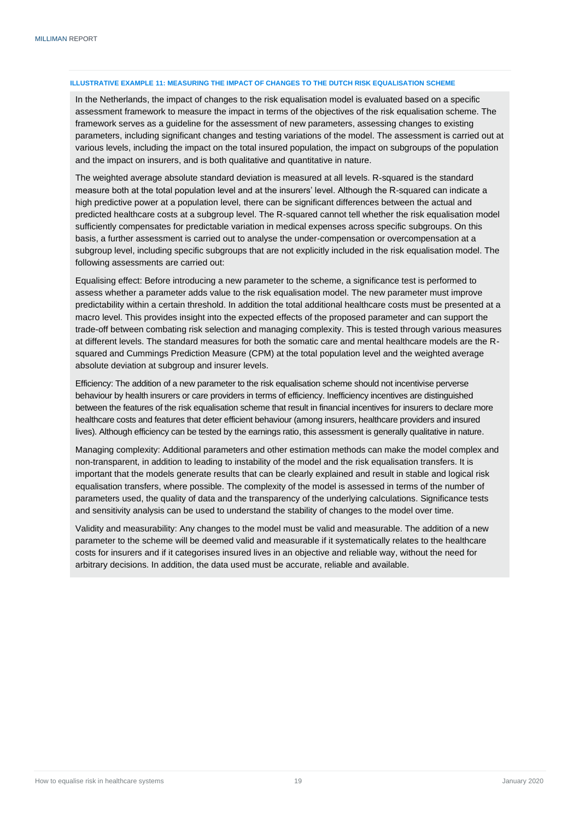## **ILLUSTRATIVE EXAMPLE 11: MEASURING THE IMPACT OF CHANGES TO THE DUTCH RISK EQUALISATION SCHEME**

In the Netherlands, the impact of changes to the risk equalisation model is evaluated based on a specific assessment framework to measure the impact in terms of the objectives of the risk equalisation scheme. The framework serves as a guideline for the assessment of new parameters, assessing changes to existing parameters, including significant changes and testing variations of the model. The assessment is carried out at various levels, including the impact on the total insured population, the impact on subgroups of the population and the impact on insurers, and is both qualitative and quantitative in nature.

The weighted average absolute standard deviation is measured at all levels. R-squared is the standard measure both at the total population level and at the insurers' level. Although the R-squared can indicate a high predictive power at a population level, there can be significant differences between the actual and predicted healthcare costs at a subgroup level. The R-squared cannot tell whether the risk equalisation model sufficiently compensates for predictable variation in medical expenses across specific subgroups. On this basis, a further assessment is carried out to analyse the under-compensation or overcompensation at a subgroup level, including specific subgroups that are not explicitly included in the risk equalisation model. The following assessments are carried out:

Equalising effect: Before introducing a new parameter to the scheme, a significance test is performed to assess whether a parameter adds value to the risk equalisation model. The new parameter must improve predictability within a certain threshold. In addition the total additional healthcare costs must be presented at a macro level. This provides insight into the expected effects of the proposed parameter and can support the trade-off between combating risk selection and managing complexity. This is tested through various measures at different levels. The standard measures for both the somatic care and mental healthcare models are the Rsquared and Cummings Prediction Measure (CPM) at the total population level and the weighted average absolute deviation at subgroup and insurer levels.

Efficiency: The addition of a new parameter to the risk equalisation scheme should not incentivise perverse behaviour by health insurers or care providers in terms of efficiency. Inefficiency incentives are distinguished between the features of the risk equalisation scheme that result in financial incentives for insurers to declare more healthcare costs and features that deter efficient behaviour (among insurers, healthcare providers and insured lives). Although efficiency can be tested by the earnings ratio, this assessment is generally qualitative in nature.

Managing complexity: Additional parameters and other estimation methods can make the model complex and non-transparent, in addition to leading to instability of the model and the risk equalisation transfers. It is important that the models generate results that can be clearly explained and result in stable and logical risk equalisation transfers, where possible. The complexity of the model is assessed in terms of the number of parameters used, the quality of data and the transparency of the underlying calculations. Significance tests and sensitivity analysis can be used to understand the stability of changes to the model over time.

<span id="page-21-0"></span>Validity and measurability: Any changes to the model must be valid and measurable. The addition of a new parameter to the scheme will be deemed valid and measurable if it systematically relates to the healthcare costs for insurers and if it categorises insured lives in an objective and reliable way, without the need for arbitrary decisions. In addition, the data used must be accurate, reliable and available.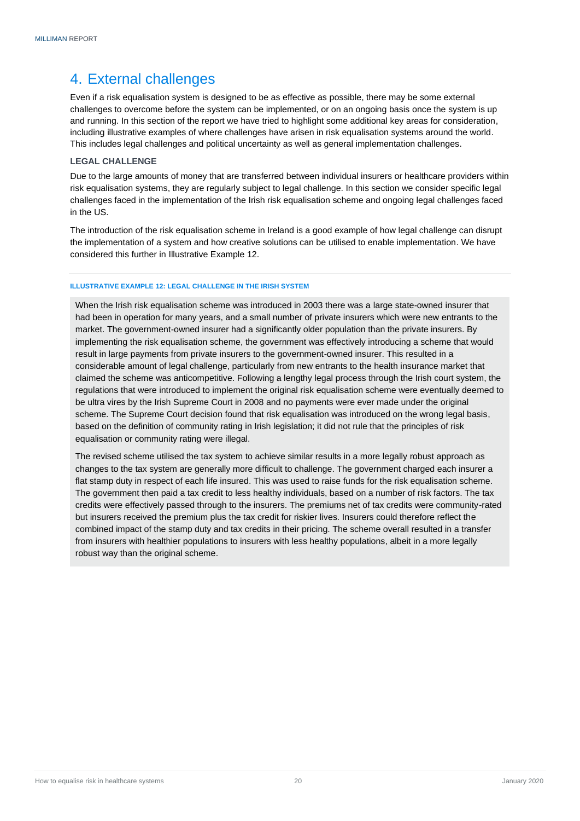# 4. External challenges

Even if a risk equalisation system is designed to be as effective as possible, there may be some external challenges to overcome before the system can be implemented, or on an ongoing basis once the system is up and running. In this section of the report we have tried to highlight some additional key areas for consideration, including illustrative examples of where challenges have arisen in risk equalisation systems around the world. This includes legal challenges and political uncertainty as well as general implementation challenges.

# <span id="page-22-0"></span>**LEGAL CHALLENGE**

Due to the large amounts of money that are transferred between individual insurers or healthcare providers within risk equalisation systems, they are regularly subject to legal challenge. In this section we consider specific legal challenges faced in the implementation of the Irish risk equalisation scheme and ongoing legal challenges faced in the US.

The introduction of the risk equalisation scheme in Ireland is a good example of how legal challenge can disrupt the implementation of a system and how creative solutions can be utilised to enable implementation. We have considered this further in Illustrative Example 12.

# **ILLUSTRATIVE EXAMPLE 12: LEGAL CHALLENGE IN THE IRISH SYSTEM**

When the Irish risk equalisation scheme was introduced in 2003 there was a large state-owned insurer that had been in operation for many years, and a small number of private insurers which were new entrants to the market. The government-owned insurer had a significantly older population than the private insurers. By implementing the risk equalisation scheme, the government was effectively introducing a scheme that would result in large payments from private insurers to the government-owned insurer. This resulted in a considerable amount of legal challenge, particularly from new entrants to the health insurance market that claimed the scheme was anticompetitive. Following a lengthy legal process through the Irish court system, the regulations that were introduced to implement the original risk equalisation scheme were eventually deemed to be ultra vires by the Irish Supreme Court in 2008 and no payments were ever made under the original scheme. The Supreme Court decision found that risk equalisation was introduced on the wrong legal basis, based on the definition of community rating in Irish legislation; it did not rule that the principles of risk equalisation or community rating were illegal.

The revised scheme utilised the tax system to achieve similar results in a more legally robust approach as changes to the tax system are generally more difficult to challenge. The government charged each insurer a flat stamp duty in respect of each life insured. This was used to raise funds for the risk equalisation scheme. The government then paid a tax credit to less healthy individuals, based on a number of risk factors. The tax credits were effectively passed through to the insurers. The premiums net of tax credits were community-rated but insurers received the premium plus the tax credit for riskier lives. Insurers could therefore reflect the combined impact of the stamp duty and tax credits in their pricing. The scheme overall resulted in a transfer from insurers with healthier populations to insurers with less healthy populations, albeit in a more legally robust way than the original scheme.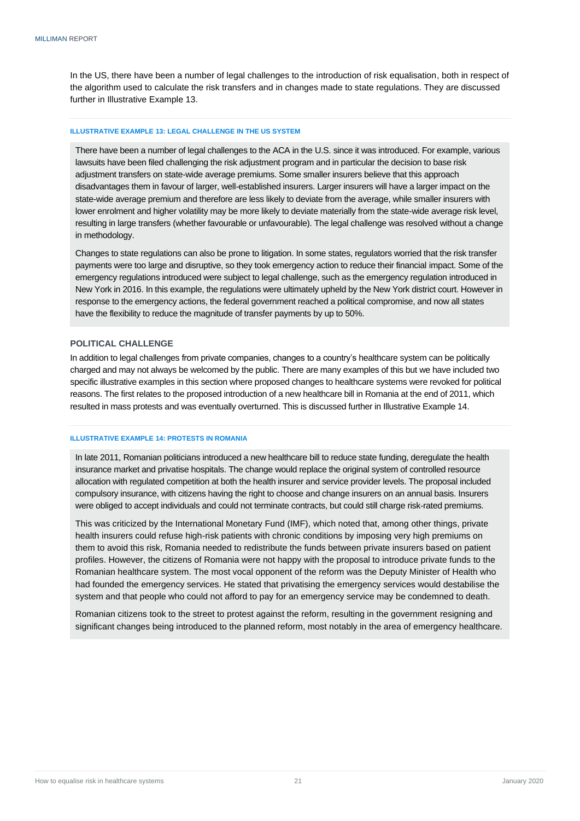In the US, there have been a number of legal challenges to the introduction of risk equalisation, both in respect of the algorithm used to calculate the risk transfers and in changes made to state regulations. They are discussed further in Illustrative Example 13.

#### **ILLUSTRATIVE EXAMPLE 13: LEGAL CHALLENGE IN THE US SYSTEM**

There have been a number of legal challenges to the ACA in the U.S. since it was introduced. For example, various lawsuits have been filed challenging the risk adjustment program and in particular the decision to base risk adjustment transfers on state-wide average premiums. Some smaller insurers believe that this approach disadvantages them in favour of larger, well-established insurers. Larger insurers will have a larger impact on the state-wide average premium and therefore are less likely to deviate from the average, while smaller insurers with lower enrolment and higher volatility may be more likely to deviate materially from the state-wide average risk level, resulting in large transfers (whether favourable or unfavourable). The legal challenge was resolved without a change in methodology.

Changes to state regulations can also be prone to litigation. In some states, regulators worried that the risk transfer payments were too large and disruptive, so they took emergency action to reduce their financial impact. Some of the emergency regulations introduced were subject to legal challenge, such as the emergency regulation introduced in New York in 2016. In this example, the regulations were ultimately upheld by the New York district court. However in response to the emergency actions, the federal government reached a political compromise, and now all states have the flexibility to reduce the magnitude of transfer payments by up to 50%.

## <span id="page-23-0"></span>**POLITICAL CHALLENGE**

In addition to legal challenges from private companies, changes to a country's healthcare system can be politically charged and may not always be welcomed by the public. There are many examples of this but we have included two specific illustrative examples in this section where proposed changes to healthcare systems were revoked for political reasons. The first relates to the proposed introduction of a new healthcare bill in Romania at the end of 2011, which resulted in mass protests and was eventually overturned. This is discussed further in Illustrative Example 14.

#### **ILLUSTRATIVE EXAMPLE 14: PROTESTS IN ROMANIA**

In late 2011, Romanian politicians introduced a new healthcare bill to reduce state funding, deregulate the health insurance market and privatise hospitals. The change would replace the original system of controlled resource allocation with regulated competition at both the health insurer and service provider levels. The proposal included compulsory insurance, with citizens having the right to choose and change insurers on an annual basis. Insurers were obliged to accept individuals and could not terminate contracts, but could still charge risk-rated premiums.

This was criticized by the International Monetary Fund (IMF), which noted that, among other things, private health insurers could refuse high-risk patients with chronic conditions by imposing very high premiums on them to avoid this risk, Romania needed to redistribute the funds between private insurers based on patient profiles. However, the citizens of Romania were not happy with the proposal to introduce private funds to the Romanian healthcare system. The most vocal opponent of the reform was the Deputy Minister of Health who had founded the emergency services. He stated that privatising the emergency services would destabilise the system and that people who could not afford to pay for an emergency service may be condemned to death.

Romanian citizens took to the street to protest against the reform, resulting in the government resigning and significant changes being introduced to the planned reform, most notably in the area of emergency healthcare.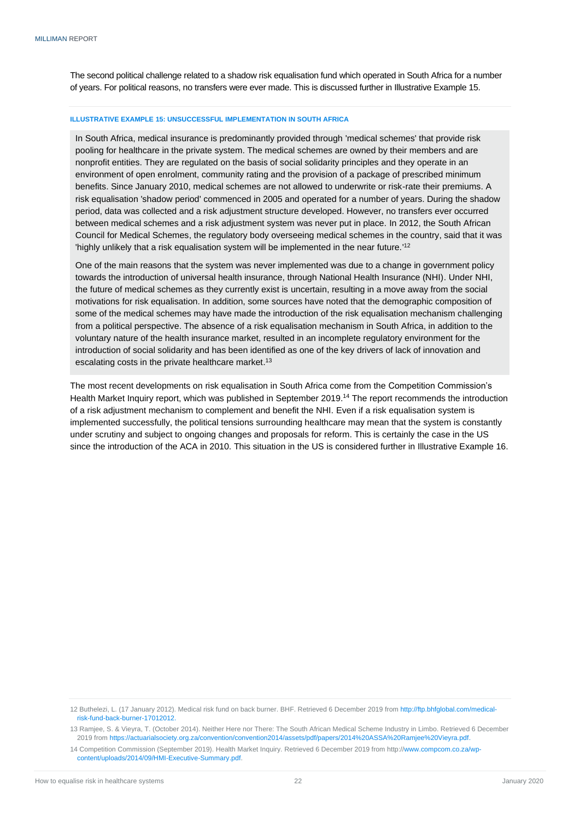The second political challenge related to a shadow risk equalisation fund which operated in South Africa for a number of years. For political reasons, no transfers were ever made. This is discussed further in Illustrative Example 15.

#### **ILLUSTRATIVE EXAMPLE 15: UNSUCCESSFUL IMPLEMENTATION IN SOUTH AFRICA**

In South Africa, medical insurance is predominantly provided through 'medical schemes' that provide risk pooling for healthcare in the private system. The medical schemes are owned by their members and are nonprofit entities. They are regulated on the basis of social solidarity principles and they operate in an environment of open enrolment, community rating and the provision of a package of prescribed minimum benefits. Since January 2010, medical schemes are not allowed to underwrite or risk-rate their premiums. A risk equalisation 'shadow period' commenced in 2005 and operated for a number of years. During the shadow period, data was collected and a risk adjustment structure developed. However, no transfers ever occurred between medical schemes and a risk adjustment system was never put in place. In 2012, the South African Council for Medical Schemes, the regulatory body overseeing medical schemes in the country, said that it was 'highly unlikely that a risk equalisation system will be implemented in the near future.'<sup>12</sup>

One of the main reasons that the system was never implemented was due to a change in government policy towards the introduction of universal health insurance, through National Health Insurance (NHI). Under NHI, the future of medical schemes as they currently exist is uncertain, resulting in a move away from the social motivations for risk equalisation. In addition, some sources have noted that the demographic composition of some of the medical schemes may have made the introduction of the risk equalisation mechanism challenging from a political perspective. The absence of a risk equalisation mechanism in South Africa, in addition to the voluntary nature of the health insurance market, resulted in an incomplete regulatory environment for the introduction of social solidarity and has been identified as one of the key drivers of lack of innovation and escalating costs in the private healthcare market.<sup>13</sup>

The most recent developments on risk equalisation in South Africa come from the Competition Commission's Health Market Inquiry report, which was published in September 2019. <sup>14</sup> The report recommends the introduction of a risk adjustment mechanism to complement and benefit the NHI. Even if a risk equalisation system is implemented successfully, the political tensions surrounding healthcare may mean that the system is constantly under scrutiny and subject to ongoing changes and proposals for reform. This is certainly the case in the US since the introduction of the ACA in 2010. This situation in the US is considered further in Illustrative Example 16.

<sup>12</sup> Buthelezi, L. (17 January 2012). Medical risk fund on back burner. BHF. Retrieved 6 December 2019 fro[m http://ftp.bhfglobal.com/medical](http://ftp.bhfglobal.com/medical-risk-fund-back-burner-17012012)[risk-fund-back-burner-17012012.](http://ftp.bhfglobal.com/medical-risk-fund-back-burner-17012012)

<sup>13</sup> Ramjee, S. & Vieyra, T. (October 2014). Neither Here nor There: The South African Medical Scheme Industry in Limbo. Retrieved 6 December 2019 fro[m https://actuarialsociety.org.za/convention/convention2014/assets/pdf/papers/2014%20ASSA%20Ramjee%20Vieyra.pdf.](https://actuarialsociety.org.za/convention/convention2014/assets/pdf/papers/2014%20ASSA%20Ramjee%20Vieyra.pdf)

<sup>14</sup> Competition Commission (September 2019). Health Market Inquiry. Retrieved 6 December 2019 from http:[//www.compcom.co.za/wp](file:///C:/Users/jeffp/Downloads/www.compcom.co.za/wp-content/uploads/2014/09/HMI-Executive-Summary.pdf)[content/uploads/2014/09/HMI-Executive-Summary.pdf.](file:///C:/Users/jeffp/Downloads/www.compcom.co.za/wp-content/uploads/2014/09/HMI-Executive-Summary.pdf)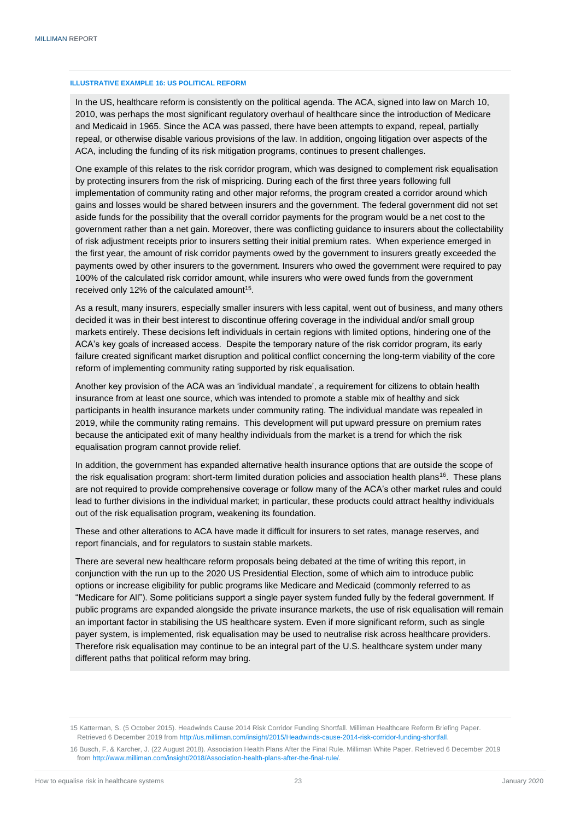#### **ILLUSTRATIVE EXAMPLE 16: US POLITICAL REFORM**

In the US, healthcare reform is consistently on the political agenda. The ACA, signed into law on March 10, 2010, was perhaps the most significant regulatory overhaul of healthcare since the introduction of Medicare and Medicaid in 1965. Since the ACA was passed, there have been attempts to expand, repeal, partially repeal, or otherwise disable various provisions of the law. In addition, ongoing litigation over aspects of the ACA, including the funding of its risk mitigation programs, continues to present challenges.

One example of this relates to the risk corridor program, which was designed to complement risk equalisation by protecting insurers from the risk of mispricing. During each of the first three years following full implementation of community rating and other major reforms, the program created a corridor around which gains and losses would be shared between insurers and the government. The federal government did not set aside funds for the possibility that the overall corridor payments for the program would be a net cost to the government rather than a net gain. Moreover, there was conflicting guidance to insurers about the collectability of risk adjustment receipts prior to insurers setting their initial premium rates. When experience emerged in the first year, the amount of risk corridor payments owed by the government to insurers greatly exceeded the payments owed by other insurers to the government. Insurers who owed the government were required to pay 100% of the calculated risk corridor amount, while insurers who were owed funds from the government received only 12% of the calculated amount<sup>15</sup>.

As a result, many insurers, especially smaller insurers with less capital, went out of business, and many others decided it was in their best interest to discontinue offering coverage in the individual and/or small group markets entirely. These decisions left individuals in certain regions with limited options, hindering one of the ACA's key goals of increased access. Despite the temporary nature of the risk corridor program, its early failure created significant market disruption and political conflict concerning the long-term viability of the core reform of implementing community rating supported by risk equalisation.

Another key provision of the ACA was an 'individual mandate', a requirement for citizens to obtain health insurance from at least one source, which was intended to promote a stable mix of healthy and sick participants in health insurance markets under community rating. The individual mandate was repealed in 2019, while the community rating remains. This development will put upward pressure on premium rates because the anticipated exit of many healthy individuals from the market is a trend for which the risk equalisation program cannot provide relief.

In addition, the government has expanded alternative health insurance options that are outside the scope of the risk equalisation program: short-term limited duration policies and association health plans<sup>16</sup>. These plans are not required to provide comprehensive coverage or follow many of the ACA's other market rules and could lead to further divisions in the individual market; in particular, these products could attract healthy individuals out of the risk equalisation program, weakening its foundation.

These and other alterations to ACA have made it difficult for insurers to set rates, manage reserves, and report financials, and for regulators to sustain stable markets.

There are several new healthcare reform proposals being debated at the time of writing this report, in conjunction with the run up to the 2020 US Presidential Election, some of which aim to introduce public options or increase eligibility for public programs like Medicare and Medicaid (commonly referred to as "Medicare for All"). Some politicians support a single payer system funded fully by the federal government. If public programs are expanded alongside the private insurance markets, the use of risk equalisation will remain an important factor in stabilising the US healthcare system. Even if more significant reform, such as single payer system, is implemented, risk equalisation may be used to neutralise risk across healthcare providers. Therefore risk equalisation may continue to be an integral part of the U.S. healthcare system under many different paths that political reform may bring.

<span id="page-25-0"></span><sup>15</sup> Katterman, S. (5 October 2015). Headwinds Cause 2014 Risk Corridor Funding Shortfall. Milliman Healthcare Reform Briefing Paper. Retrieved 6 December 2019 fro[m http://us.milliman.com/insight/2015/Headwinds-cause-2014-risk-corridor-funding-shortfall.](http://us.milliman.com/insight/2015/Headwinds-cause-2014-risk-corridor-funding-shortfall)

<sup>16</sup> Busch, F. & Karcher, J. (22 August 2018). Association Health Plans After the Final Rule. Milliman White Paper. Retrieved 6 December 2019 fro[m http://www.milliman.com/insight/2018/Association-health-plans-after-the-final-rule/.](http://www.milliman.com/insight/2018/Association-health-plans-after-the-final-rule/)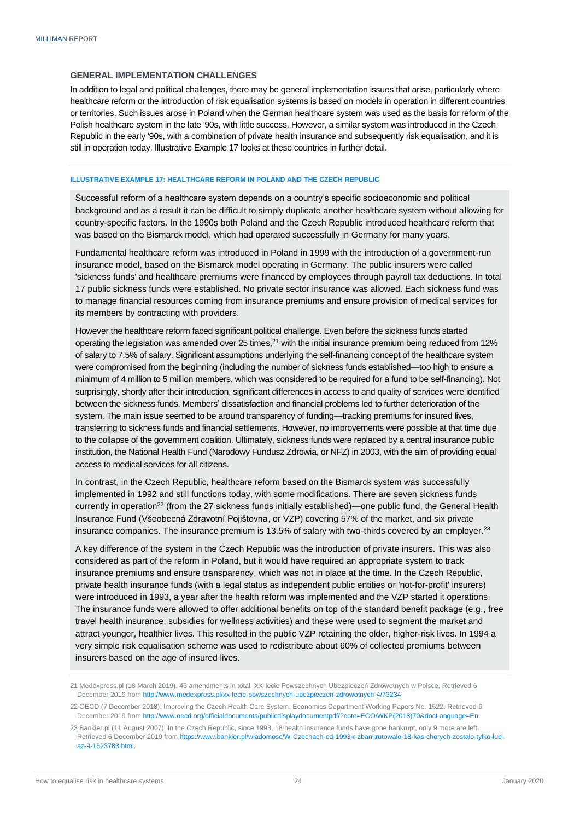# **GENERAL IMPLEMENTATION CHALLENGES**

In addition to legal and political challenges, there may be general implementation issues that arise, particularly where healthcare reform or the introduction of risk equalisation systems is based on models in operation in different countries or territories. Such issues arose in Poland when the German healthcare system was used as the basis for reform of the Polish healthcare system in the late '90s, with little success. However, a similar system was introduced in the Czech Republic in the early '90s, with a combination of private health insurance and subsequently risk equalisation, and it is still in operation today. Illustrative Example 17 looks at these countries in further detail.

#### **ILLUSTRATIVE EXAMPLE 17: HEALTHCARE REFORM IN POLAND AND THE CZECH REPUBLIC**

Successful reform of a healthcare system depends on a country's specific socioeconomic and political background and as a result it can be difficult to simply duplicate another healthcare system without allowing for country-specific factors. In the 1990s both Poland and the Czech Republic introduced healthcare reform that was based on the Bismarck model, which had operated successfully in Germany for many years.

Fundamental healthcare reform was introduced in Poland in 1999 with the introduction of a government-run insurance model, based on the Bismarck model operating in Germany. The public insurers were called 'sickness funds' and healthcare premiums were financed by employees through payroll tax deductions. In total 17 public sickness funds were established. No private sector insurance was allowed. Each sickness fund was to manage financial resources coming from insurance premiums and ensure provision of medical services for its members by contracting with providers.

However the healthcare reform faced significant political challenge. Even before the sickness funds started operating the legislation was amended over 25 times, $^{21}$  with the initial insurance premium being reduced from 12% of salary to 7.5% of salary. Significant assumptions underlying the self-financing concept of the healthcare system were compromised from the beginning (including the number of sickness funds established—too high to ensure a minimum of 4 million to 5 million members, which was considered to be required for a fund to be self-financing). Not surprisingly, shortly after their introduction, significant differences in access to and quality of services were identified between the sickness funds. Members' dissatisfaction and financial problems led to further deterioration of the system. The main issue seemed to be around transparency of funding—tracking premiums for insured lives, transferring to sickness funds and financial settlements. However, no improvements were possible at that time due to the collapse of the government coalition. Ultimately, sickness funds were replaced by a central insurance public institution, the National Health Fund (Narodowy Fundusz Zdrowia, or NFZ) in 2003, with the aim of providing equal access to medical services for all citizens.

In contrast, in the Czech Republic, healthcare reform based on the Bismarck system was successfully implemented in 1992 and still functions today, with some modifications. There are seven sickness funds currently in operation<sup>22</sup> (from the 27 sickness funds initially established)—one public fund, the General Health Insurance Fund (Všeobecná Zdravotní Pojištovna, or VZP) covering 57% of the market, and six private insurance companies. The insurance premium is 13.5% of salary with two-thirds covered by an employer.<sup>23</sup>

A key difference of the system in the Czech Republic was the introduction of private insurers. This was also considered as part of the reform in Poland, but it would have required an appropriate system to track insurance premiums and ensure transparency, which was not in place at the time. In the Czech Republic, private health insurance funds (with a legal status as independent public entities or 'not-for-profit' insurers) were introduced in 1993, a year after the health reform was implemented and the VZP started it operations. The insurance funds were allowed to offer additional benefits on top of the standard benefit package (e.g., free travel health insurance, subsidies for wellness activities) and these were used to segment the market and attract younger, healthier lives. This resulted in the public VZP retaining the older, higher-risk lives. In 1994 a very simple risk equalisation scheme was used to redistribute about 60% of collected premiums between insurers based on the age of insured lives.

<sup>21</sup> Medexpress.pl (18 March 2019). 43 amendments in total, XX-lecie Powszechnych Ubezpieczeń Zdrowotnych w Polsce. Retrieved 6 December 2019 from [http://www.medexpress.pl/xx-lecie-powszechnych-ubezpieczen-zdrowotnych-4/73234.](http://www.medexpress.pl/xx-lecie-powszechnych-ubezpieczen-zdrowotnych-4/73234)

<sup>22</sup> OECD (7 December 2018). Improving the Czech Health Care System. Economics Department Working Papers No. 1522. Retrieved 6 December 2019 from [http://www.oecd.org/officialdocuments/publicdisplaydocumentpdf/?cote=ECO/WKP\(2018\)70&docLanguage=En.](http://www.oecd.org/officialdocuments/publicdisplaydocumentpdf/?cote=ECO/WKP(2018)70&docLanguage=En)

<sup>23</sup> Bankier.pl (11 August 2007). In the Czech Republic, since 1993, 18 health insurance funds have gone bankrupt, only 9 more are left. Retrieved 6 December 2019 fro[m https://www.bankier.pl/wiadomosc/W-Czechach-od-1993-r-zbankrutowalo-18-kas-chorych-zostalo-tylko-lub](https://www.bankier.pl/wiadomosc/W-Czechach-od-1993-r-zbankrutowalo-18-kas-chorych-zostalo-tylko-lub-az-9-1623783.html)[az-9-1623783.html.](https://www.bankier.pl/wiadomosc/W-Czechach-od-1993-r-zbankrutowalo-18-kas-chorych-zostalo-tylko-lub-az-9-1623783.html)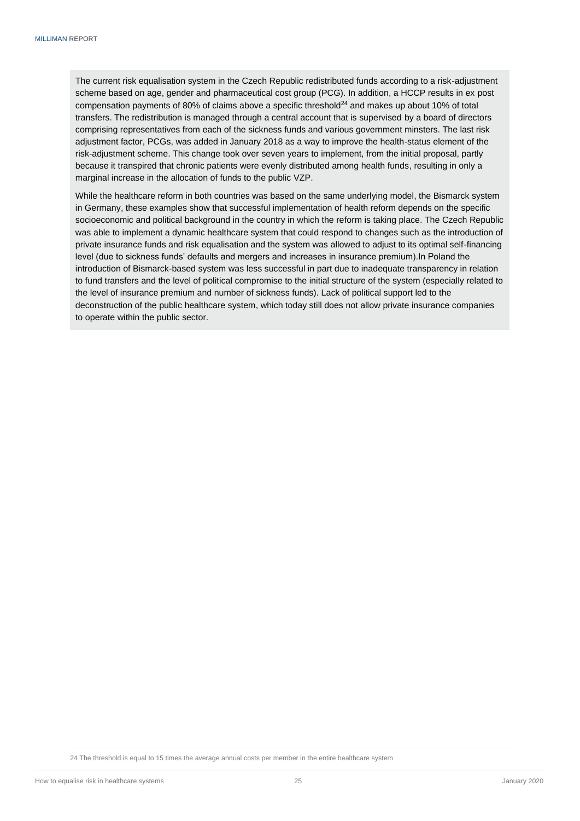The current risk equalisation system in the Czech Republic redistributed funds according to a risk-adjustment scheme based on age, gender and pharmaceutical cost group (PCG). In addition, a HCCP results in ex post compensation payments of 80% of claims above a specific threshold $^{24}$  and makes up about 10% of total transfers. The redistribution is managed through a central account that is supervised by a board of directors comprising representatives from each of the sickness funds and various government minsters. The last risk adjustment factor, PCGs, was added in January 2018 as a way to improve the health-status element of the risk-adjustment scheme. This change took over seven years to implement, from the initial proposal, partly because it transpired that chronic patients were evenly distributed among health funds, resulting in only a marginal increase in the allocation of funds to the public VZP.

<span id="page-27-0"></span>While the healthcare reform in both countries was based on the same underlying model, the Bismarck system in Germany, these examples show that successful implementation of health reform depends on the specific socioeconomic and political background in the country in which the reform is taking place. The Czech Republic was able to implement a dynamic healthcare system that could respond to changes such as the introduction of private insurance funds and risk equalisation and the system was allowed to adjust to its optimal self-financing level (due to sickness funds' defaults and mergers and increases in insurance premium).In Poland the introduction of Bismarck-based system was less successful in part due to inadequate transparency in relation to fund transfers and the level of political compromise to the initial structure of the system (especially related to the level of insurance premium and number of sickness funds). Lack of political support led to the deconstruction of the public healthcare system, which today still does not allow private insurance companies to operate within the public sector.

24 The threshold is equal to 15 times the average annual costs per member in the entire healthcare system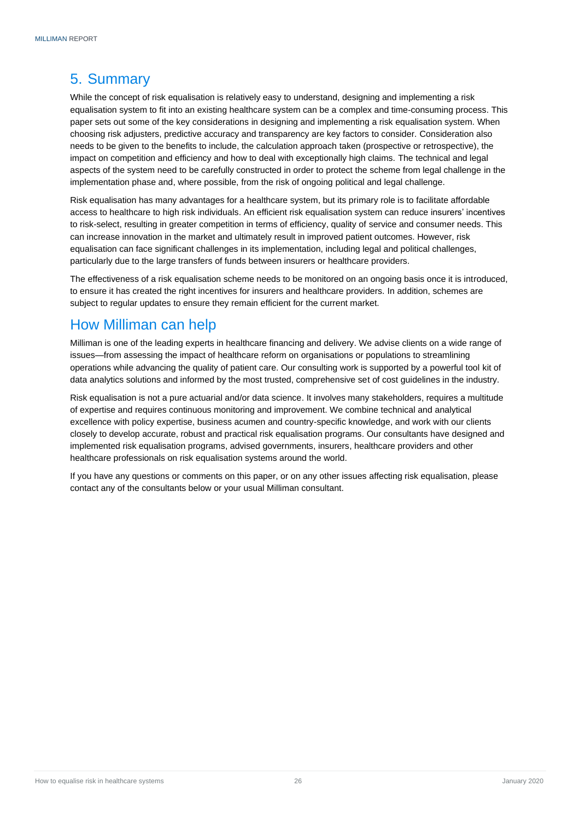# 5. Summary

While the concept of risk equalisation is relatively easy to understand, designing and implementing a risk equalisation system to fit into an existing healthcare system can be a complex and time-consuming process. This paper sets out some of the key considerations in designing and implementing a risk equalisation system. When choosing risk adjusters, predictive accuracy and transparency are key factors to consider. Consideration also needs to be given to the benefits to include, the calculation approach taken (prospective or retrospective), the impact on competition and efficiency and how to deal with exceptionally high claims. The technical and legal aspects of the system need to be carefully constructed in order to protect the scheme from legal challenge in the implementation phase and, where possible, from the risk of ongoing political and legal challenge.

Risk equalisation has many advantages for a healthcare system, but its primary role is to facilitate affordable access to healthcare to high risk individuals. An efficient risk equalisation system can reduce insurers' incentives to risk-select, resulting in greater competition in terms of efficiency, quality of service and consumer needs. This can increase innovation in the market and ultimately result in improved patient outcomes. However, risk equalisation can face significant challenges in its implementation, including legal and political challenges, particularly due to the large transfers of funds between insurers or healthcare providers.

The effectiveness of a risk equalisation scheme needs to be monitored on an ongoing basis once it is introduced, to ensure it has created the right incentives for insurers and healthcare providers. In addition, schemes are subject to regular updates to ensure they remain efficient for the current market.

# How Milliman can help

Milliman is one of the leading experts in healthcare financing and delivery. We advise clients on a wide range of issues—from assessing the impact of healthcare reform on organisations or populations to streamlining operations while advancing the quality of patient care. Our consulting work is supported by a powerful tool kit of data analytics solutions and informed by the most trusted, comprehensive set of cost guidelines in the industry.

Risk equalisation is not a pure actuarial and/or data science. It involves many stakeholders, requires a multitude of expertise and requires continuous monitoring and improvement. We combine technical and analytical excellence with policy expertise, business acumen and country-specific knowledge, and work with our clients closely to develop accurate, robust and practical risk equalisation programs. Our consultants have designed and implemented risk equalisation programs, advised governments, insurers, healthcare providers and other healthcare professionals on risk equalisation systems around the world.

<span id="page-28-0"></span>If you have any questions or comments on this paper, or on any other issues affecting risk equalisation, please contact any of the consultants below or your usual Milliman consultant.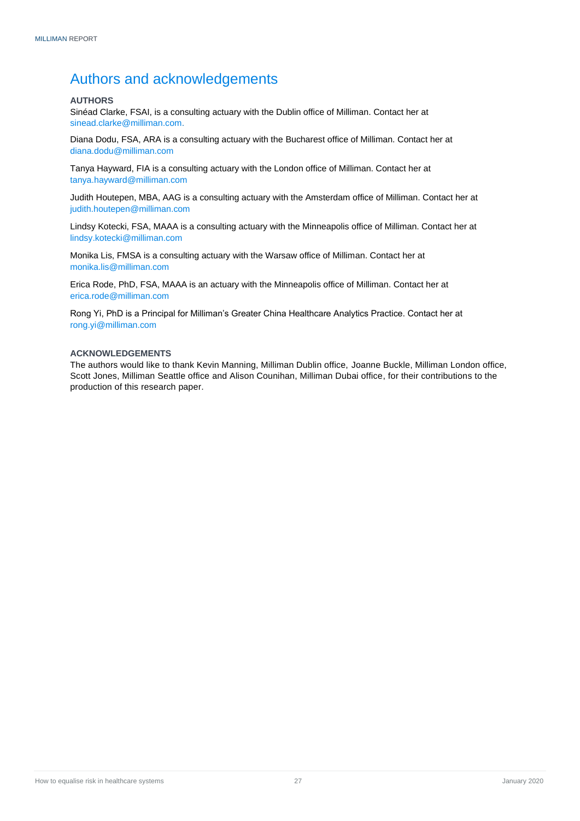# <span id="page-29-0"></span>Authors and acknowledgements

## <span id="page-29-1"></span>**AUTHORS**

Sinéad Clarke, FSAI, is a consulting actuary with the Dublin office of Milliman. Contact her at [sinead.clarke@milliman.com.](mailto:sinead.clarke@milliman.com)

Diana Dodu, FSA, ARA is a consulting actuary with the Bucharest office of Milliman. Contact her at diana.dodu@milliman.com

Tanya Hayward, FIA is a consulting actuary with the London office of Milliman. Contact her at tanya.hayward@milliman.com

Judith Houtepen, MBA, AAG is a consulting actuary with the Amsterdam office of Milliman. Contact her at judith.houtepen@milliman.com

Lindsy Kotecki, FSA, MAAA is a consulting actuary with the Minneapolis office of Milliman. Contact her at [lindsy.kotecki@milliman.com](mailto:lindsy.kotecki@milliman.com)

Monika Lis, FMSA is a consulting actuary with the Warsaw office of Milliman. Contact her at monika.lis@milliman.com

Erica Rode, PhD, FSA, MAAA is an actuary with the Minneapolis office of Milliman. Contact her at erica.rode@milliman.com

Rong Yi, PhD is a Principal for Milliman's Greater China Healthcare Analytics Practice. Contact her at rong.yi@milliman.com

#### <span id="page-29-2"></span>**ACKNOWLEDGEMENTS**

The authors would like to thank Kevin Manning, Milliman Dublin office, Joanne Buckle, Milliman London office, Scott Jones, Milliman Seattle office and Alison Counihan, Milliman Dubai office, for their contributions to the production of this research paper.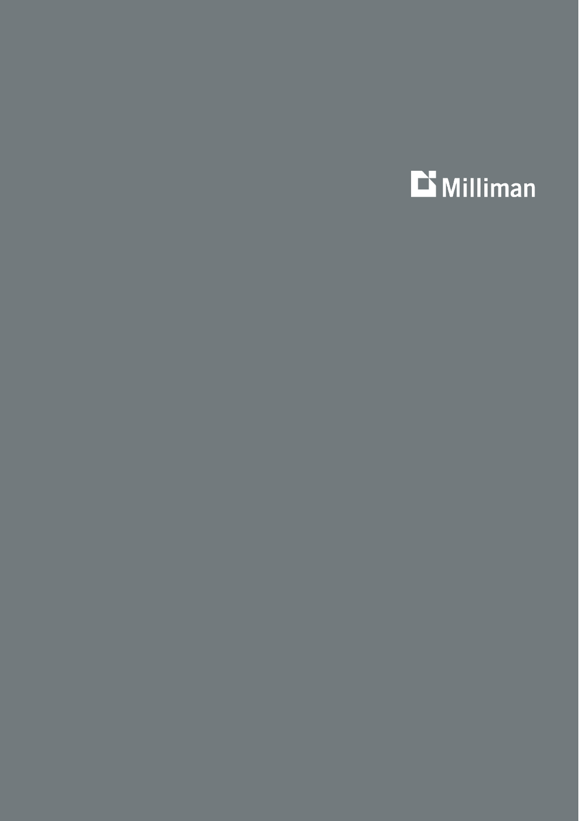